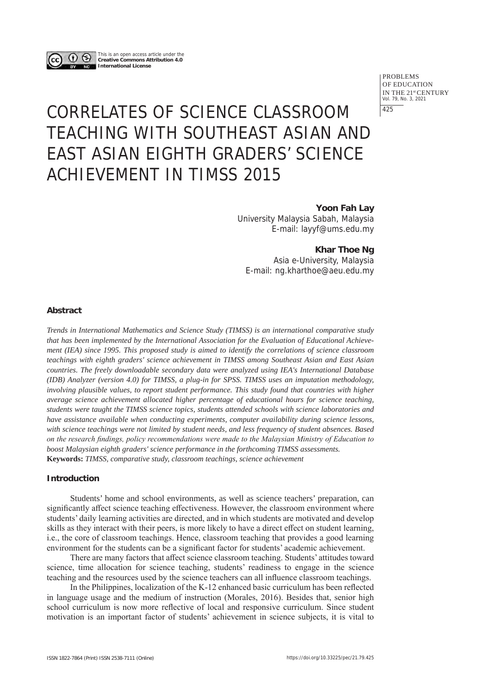

This is an open access article under the **Creative Commons Attribution 4.0 International License**

> PROBLEMS OF EDUCATION IN THE 21<sup>st</sup> CENTURY<br>Vol. 79, No. 3, 2021 425

# CORRELATES OF SCIENCE CLASSROOM TEACHING WITH SOUTHEAST ASIAN AND EAST ASIAN EIGHTH GRADERS' SCIENCE ACHIEVEMENT IN TIMSS 2015

**Yoon Fah Lay** University Malaysia Sabah, Malaysia E-mail: layyf@ums.edu.my

**Khar Thoe Ng**

Asia e-University, Malaysia E-mail: ng.kharthoe@aeu.edu.my

## **Abstract**

*Trends in International Mathematics and Science Study (TIMSS) is an international comparative study that has been implemented by the International Association for the Evaluation of Educational Achievement (IEA) since 1995. This proposed study is aimed to identify the correlations of science classroom teachings with eighth graders' science achievement in TIMSS among Southeast Asian and East Asian countries. The freely downloadable secondary data were analyzed using IEA's International Database (IDB) Analyzer (version 4.0) for TIMSS, a plug-in for SPSS. TIMSS uses an imputation methodology, involving plausible values, to report student performance. This study found that countries with higher average science achievement allocated higher percentage of educational hours for science teaching, students were taught the TIMSS science topics, students attended schools with science laboratories and have assistance available when conducting experiments, computer availability during science lessons, with science teachings were not limited by student needs, and less frequency of student absences. Based on the research findings, policy recommendations were made to the Malaysian Ministry of Education to boost Malaysian eighth graders' science performance in the forthcoming TIMSS assessments.*  **Keywords:** *TIMSS, comparative study, classroom teachings, science achievement*

#### **Introduction**

Students' home and school environments, as well as science teachers' preparation, can significantly affect science teaching effectiveness. However, the classroom environment where students' daily learning activities are directed, and in which students are motivated and develop skills as they interact with their peers, is more likely to have a direct effect on student learning, i.e., the core of classroom teachings. Hence, classroom teaching that provides a good learning environment for the students can be a significant factor for students' academic achievement.

There are many factors that affect science classroom teaching. Students' attitudes toward science, time allocation for science teaching, students' readiness to engage in the science teaching and the resources used by the science teachers can all influence classroom teachings.

In the Philippines, localization of the K-12 enhanced basic curriculum has been reflected in language usage and the medium of instruction (Morales, 2016). Besides that, senior high school curriculum is now more reflective of local and responsive curriculum. Since student motivation is an important factor of students' achievement in science subjects, it is vital to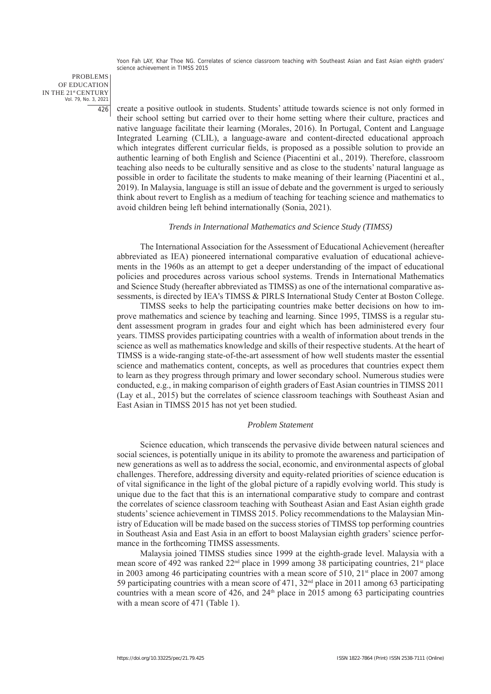PROBLEMS OF EDUCATION IN THE 21st CENTURY Vol. 79, No. 3, 2021 426

create a positive outlook in students. Students' attitude towards science is not only formed in their school setting but carried over to their home setting where their culture, practices and native language facilitate their learning (Morales, 2016). In Portugal, Content and Language Integrated Learning (CLIL), a language-aware and content-directed educational approach which integrates different curricular fields, is proposed as a possible solution to provide an authentic learning of both English and Science (Piacentini et al., 2019). Therefore, classroom teaching also needs to be culturally sensitive and as close to the students' natural language as possible in order to facilitate the students to make meaning of their learning (Piacentini et al., 2019). In Malaysia, language is still an issue of debate and the government is urged to seriously think about revert to English as a medium of teaching for teaching science and mathematics to avoid children being left behind internationally (Sonia, 2021).

#### *Trends in International Mathematics and Science Study (TIMSS)*

The International Association for the Assessment of Educational Achievement (hereafter abbreviated as IEA) pioneered international comparative evaluation of educational achievements in the 1960s as an attempt to get a deeper understanding of the impact of educational policies and procedures across various school systems. Trends in International Mathematics and Science Study (hereafter abbreviated as TIMSS) as one of the international comparative assessments, is directed by IEA's TIMSS & PIRLS International Study Center at Boston College.

TIMSS seeks to help the participating countries make better decisions on how to improve mathematics and science by teaching and learning. Since 1995, TIMSS is a regular student assessment program in grades four and eight which has been administered every four years. TIMSS provides participating countries with a wealth of information about trends in the science as well as mathematics knowledge and skills of their respective students. At the heart of TIMSS is a wide-ranging state-of-the-art assessment of how well students master the essential science and mathematics content, concepts, as well as procedures that countries expect them to learn as they progress through primary and lower secondary school. Numerous studies were conducted, e.g., in making comparison of eighth graders of East Asian countries in TIMSS 2011 (Lay et al., 2015) but the correlates of science classroom teachings with Southeast Asian and East Asian in TIMSS 2015 has not yet been studied.

#### *Problem Statement*

Science education, which transcends the pervasive divide between natural sciences and social sciences, is potentially unique in its ability to promote the awareness and participation of new generations as well as to address the social, economic, and environmental aspects of global challenges. Therefore, addressing diversity and equity-related priorities of science education is of vital significance in the light of the global picture of a rapidly evolving world. This study is unique due to the fact that this is an international comparative study to compare and contrast the correlates of science classroom teaching with Southeast Asian and East Asian eighth grade students' science achievement in TIMSS 2015. Policy recommendations to the Malaysian Ministry of Education will be made based on the success stories of TIMSS top performing countries in Southeast Asia and East Asia in an effort to boost Malaysian eighth graders' science performance in the forthcoming TIMSS assessments.

Malaysia joined TIMSS studies since 1999 at the eighth-grade level. Malaysia with a mean score of 492 was ranked 22<sup>nd</sup> place in 1999 among 38 participating countries, 21<sup>st</sup> place in 2003 among 46 participating countries with a mean score of  $510$ ,  $21<sup>st</sup>$  place in 2007 among 59 participating countries with a mean score of 471,  $32<sup>nd</sup>$  place in 2011 among 63 participating countries with a mean score of  $426$ , and  $24<sup>th</sup>$  place in 2015 among 63 participating countries with a mean score of 471 (Table 1).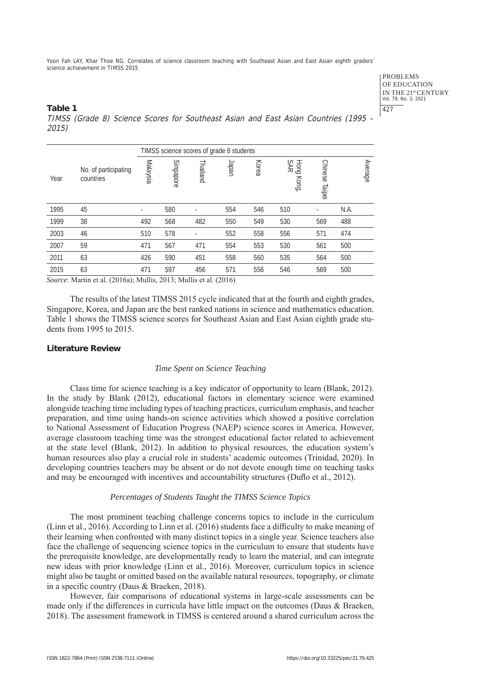> PROBLEMS OF EDUCATION IN THE 21st CENTURY Vol. 79, No. 3, 2021 427

## **Table 1** TIMSS (Grade 8) Science Scores for Southeast Asian and East Asian Countries (1995 – 2015)

|      |                                   |          | TIMSS science scores of grade 8 students |          |       |       |                      |                          |      |         |
|------|-----------------------------------|----------|------------------------------------------|----------|-------|-------|----------------------|--------------------------|------|---------|
| Year | No. of participating<br>countries | Malaysia | Singapore                                | Thailand | ueder | Korea | Hong<br>SAR<br>Kong, | <b>Chinese</b><br>Taipei |      | Average |
| 1995 | 45                                | ٠        | 580                                      | ٠        | 554   | 546   | 510                  | ٠                        | N.A. |         |
| 1999 | 38                                | 492      | 568                                      | 482      | 550   | 549   | 530                  | 569                      | 488  |         |
| 2003 | 46                                | 510      | 578                                      |          | 552   | 558   | 556                  | 571                      | 474  |         |
| 2007 | 59                                | 471      | 567                                      | 471      | 554   | 553   | 530                  | 561                      | 500  |         |
| 2011 | 63                                | 426      | 590                                      | 451      | 558   | 560   | 535                  | 564                      | 500  |         |
| 2015 | 63                                | 471      | 597                                      | 456      | 571   | 556   | 546                  | 569                      | 500  |         |
|      |                                   |          |                                          |          |       |       |                      |                          |      |         |

*Source*: Martin et al. (2016a); Mullis, 2013; Mullis et al. (2016)

The results of the latest TIMSS 2015 cycle indicated that at the fourth and eighth grades, Singapore, Korea, and Japan are the best ranked nations in science and mathematics education. Table 1 shows the TIMSS science scores for Southeast Asian and East Asian eighth grade students from 1995 to 2015.

## **Literature Review**

## *Time Spent on Science Teaching*

Class time for science teaching is a key indicator of opportunity to learn (Blank, 2012). In the study by Blank (2012), educational factors in elementary science were examined alongside teaching time including types of teaching practices, curriculum emphasis, and teacher preparation, and time using hands-on science activities which showed a positive correlation to National Assessment of Education Progress (NAEP) science scores in America. However, average classroom teaching time was the strongest educational factor related to achievement at the state level (Blank, 2012). In addition to physical resources, the education system's human resources also play a crucial role in students' academic outcomes (Trinidad, 2020). In developing countries teachers may be absent or do not devote enough time on teaching tasks and may be encouraged with incentives and accountability structures (Duflo et al., 2012).

#### *Percentages of Students Taught the TIMSS Science Topics*

The most prominent teaching challenge concerns topics to include in the curriculum (Linn et al., 2016). According to Linn et al. (2016) students face a difficulty to make meaning of their learning when confronted with many distinct topics in a single year. Science teachers also face the challenge of sequencing science topics in the curriculum to ensure that students have the prerequisite knowledge, are developmentally ready to learn the material, and can integrate new ideas with prior knowledge (Linn et al., 2016). Moreover, curriculum topics in science might also be taught or omitted based on the available natural resources, topography, or climate in a specific country (Daus & Braeken, 2018).

However, fair comparisons of educational systems in large-scale assessments can be made only if the differences in curricula have little impact on the outcomes (Daus & Braeken, 2018). The assessment framework in TIMSS is centered around a shared curriculum across the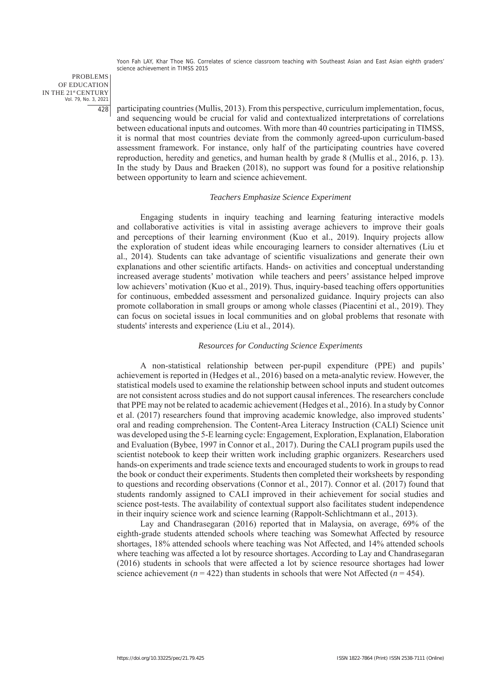PROBLEMS OF EDUCATION IN THE 21st CENTURY Vol. 79, No. 3, 2021 428

participating countries (Mullis, 2013). From this perspective, curriculum implementation, focus, and sequencing would be crucial for valid and contextualized interpretations of correlations between educational inputs and outcomes. With more than 40 countries participating in TIMSS, it is normal that most countries deviate from the commonly agreed-upon curriculum-based assessment framework. For instance, only half of the participating countries have covered reproduction, heredity and genetics, and human health by grade 8 (Mullis et al., 2016, p. 13). In the study by Daus and Braeken (2018), no support was found for a positive relationship between opportunity to learn and science achievement.

#### *Teachers Emphasize Science Experiment*

Engaging students in inquiry teaching and learning featuring interactive models and collaborative activities is vital in assisting average achievers to improve their goals and perceptions of their learning environment (Kuo et al., 2019). Inquiry projects allow the exploration of student ideas while encouraging learners to consider alternatives (Liu et al., 2014). Students can take advantage of scientific visualizations and generate their own explanations and other scientific artifacts. Hands- on activities and conceptual understanding increased average students' motivation while teachers and peers' assistance helped improve low achievers' motivation (Kuo et al., 2019). Thus, inquiry-based teaching offers opportunities for continuous, embedded assessment and personalized guidance. Inquiry projects can also promote collaboration in small groups or among whole classes (Piacentini et al., 2019). They can focus on societal issues in local communities and on global problems that resonate with students' interests and experience (Liu et al., 2014).

#### *Resources for Conducting Science Experiments*

A non-statistical relationship between per-pupil expenditure (PPE) and pupils' achievement is reported in (Hedges et al., 2016) based on a meta-analytic review. However, the statistical models used to examine the relationship between school inputs and student outcomes are not consistent across studies and do not support causal inferences. The researchers conclude that PPE may not be related to academic achievement (Hedges et al., 2016). In a study by Connor et al. (2017) researchers found that improving academic knowledge, also improved students' oral and reading comprehension. The Content-Area Literacy Instruction (CALI) Science unit was developed using the 5-E learning cycle: Engagement, Exploration, Explanation, Elaboration and Evaluation (Bybee, 1997 in Connor et al., 2017). During the CALI program pupils used the scientist notebook to keep their written work including graphic organizers. Researchers used hands-on experiments and trade science texts and encouraged students to work in groups to read the book or conduct their experiments. Students then completed their worksheets by responding to questions and recording observations (Connor et al., 2017). Connor et al. (2017) found that students randomly assigned to CALI improved in their achievement for social studies and science post-tests. The availability of contextual support also facilitates student independence in their inquiry science work and science learning (Rappolt-Schlichtmann et al., 2013).

Lay and Chandrasegaran (2016) reported that in Malaysia, on average, 69% of the eighth-grade students attended schools where teaching was Somewhat Affected by resource shortages, 18% attended schools where teaching was Not Affected, and 14% attended schools where teaching was affected a lot by resource shortages. According to Lay and Chandrasegaran (2016) students in schools that were affected a lot by science resource shortages had lower science achievement  $(n = 422)$  than students in schools that were Not Affected  $(n = 454)$ .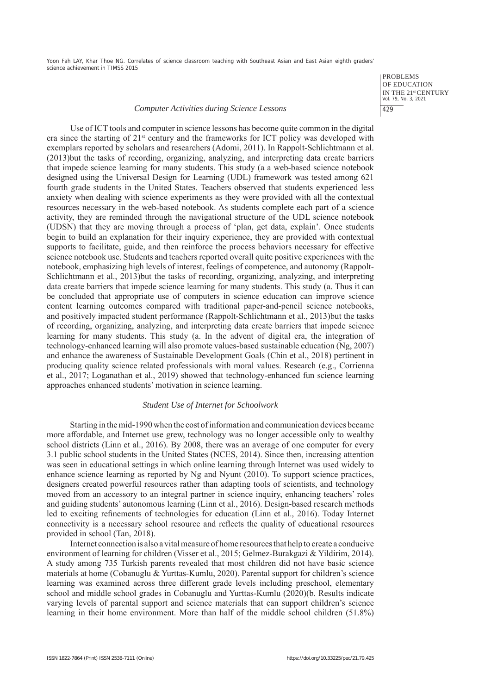> PROBLEMS OF EDUCATION IN THE 21st CENTURY Vol. 79, No. 3, 2021 429

#### *Computer Activities during Science Lessons*

Use of ICT tools and computer in science lessons has become quite common in the digital era since the starting of  $21<sup>st</sup>$  century and the frameworks for ICT policy was developed with exemplars reported by scholars and researchers (Adomi, 2011). In Rappolt-Schlichtmann et al. (2013)but the tasks of recording, organizing, analyzing, and interpreting data create barriers that impede science learning for many students. This study (a a web-based science notebook designed using the Universal Design for Learning (UDL) framework was tested among 621 fourth grade students in the United States. Teachers observed that students experienced less anxiety when dealing with science experiments as they were provided with all the contextual resources necessary in the web-based notebook. As students complete each part of a science activity, they are reminded through the navigational structure of the UDL science notebook (UDSN) that they are moving through a process of 'plan, get data, explain'. Once students begin to build an explanation for their inquiry experience, they are provided with contextual supports to facilitate, guide, and then reinforce the process behaviors necessary for effective science notebook use. Students and teachers reported overall quite positive experiences with the notebook, emphasizing high levels of interest, feelings of competence, and autonomy (Rappolt-Schlichtmann et al., 2013)but the tasks of recording, organizing, analyzing, and interpreting data create barriers that impede science learning for many students. This study (a. Thus it can be concluded that appropriate use of computers in science education can improve science content learning outcomes compared with traditional paper-and-pencil science notebooks, and positively impacted student performance (Rappolt-Schlichtmann et al., 2013)but the tasks of recording, organizing, analyzing, and interpreting data create barriers that impede science learning for many students. This study (a. In the advent of digital era, the integration of technology-enhanced learning will also promote values-based sustainable education (Ng, 2007) and enhance the awareness of Sustainable Development Goals (Chin et al., 2018) pertinent in producing quality science related professionals with moral values. Research (e.g., Corrienna et al., 2017; Loganathan et al., 2019) showed that technology-enhanced fun science learning approaches enhanced students' motivation in science learning.

#### *Student Use of Internet for Schoolwork*

Starting in the mid-1990 when the cost of information and communication devices became more affordable, and Internet use grew, technology was no longer accessible only to wealthy school districts (Linn et al., 2016). By 2008, there was an average of one computer for every 3.1 public school students in the United States (NCES, 2014). Since then, increasing attention was seen in educational settings in which online learning through Internet was used widely to enhance science learning as reported by Ng and Nyunt (2010). To support science practices, designers created powerful resources rather than adapting tools of scientists, and technology moved from an accessory to an integral partner in science inquiry, enhancing teachers' roles and guiding students' autonomous learning (Linn et al., 2016). Design-based research methods led to exciting refinements of technologies for education (Linn et al., 2016). Today Internet connectivity is a necessary school resource and reflects the quality of educational resources provided in school (Tan, 2018).

Internet connection is also a vital measure of home resources that help to create a conducive environment of learning for children (Visser et al., 2015; Gelmez-Burakgazi & Yildirim, 2014). A study among 735 Turkish parents revealed that most children did not have basic science materials at home (Cobanuglu & Yurttas-Kumlu, 2020). Parental support for children's science learning was examined across three different grade levels including preschool, elementary school and middle school grades in Cobanuglu and Yurttas-Kumlu (2020)(b. Results indicate varying levels of parental support and science materials that can support children's science learning in their home environment. More than half of the middle school children (51.8%)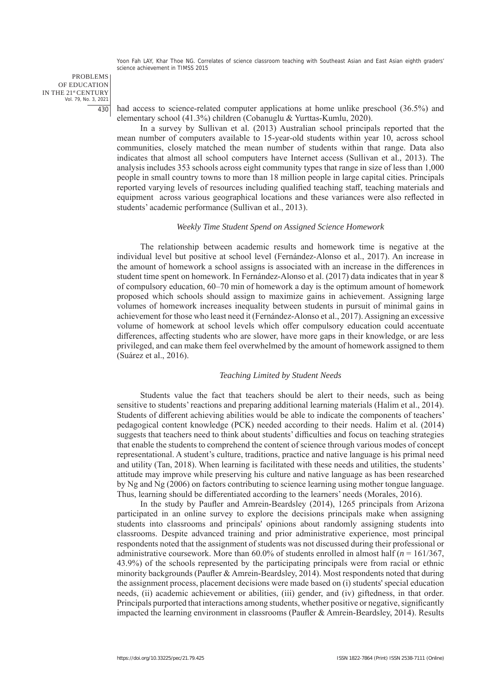PROBLEMS OF EDUCATION IN THE 21st CENTURY Vol. 79, No. 3, 2021 430

had access to science-related computer applications at home unlike preschool (36.5%) and elementary school (41.3%) children (Cobanuglu & Yurttas-Kumlu, 2020).

In a survey by Sullivan et al. (2013) Australian school principals reported that the mean number of computers available to 15-year-old students within year 10, across school communities, closely matched the mean number of students within that range. Data also indicates that almost all school computers have Internet access (Sullivan et al., 2013). The analysis includes 353 schools across eight community types that range in size of less than 1,000 people in small country towns to more than 18 million people in large capital cities. Principals reported varying levels of resources including qualified teaching staff, teaching materials and equipment across various geographical locations and these variances were also reflected in students' academic performance (Sullivan et al., 2013).

#### *Weekly Time Student Spend on Assigned Science Homework*

The relationship between academic results and homework time is negative at the individual level but positive at school level (Fernández-Alonso et al., 2017). An increase in the amount of homework a school assigns is associated with an increase in the differences in student time spent on homework. In Fernández-Alonso et al. (2017) data indicates that in year 8 of compulsory education, 60–70 min of homework a day is the optimum amount of homework proposed which schools should assign to maximize gains in achievement. Assigning large volumes of homework increases inequality between students in pursuit of minimal gains in achievement for those who least need it (Fernández-Alonso et al., 2017). Assigning an excessive volume of homework at school levels which offer compulsory education could accentuate differences, affecting students who are slower, have more gaps in their knowledge, or are less privileged, and can make them feel overwhelmed by the amount of homework assigned to them (Suárez et al., 2016).

## *Teaching Limited by Student Needs*

Students value the fact that teachers should be alert to their needs, such as being sensitive to students' reactions and preparing additional learning materials (Halim et al., 2014). Students of different achieving abilities would be able to indicate the components of teachers' pedagogical content knowledge (PCK) needed according to their needs. Halim et al. (2014) suggests that teachers need to think about students' difficulties and focus on teaching strategies that enable the students to comprehend the content of science through various modes of concept representational. A student's culture, traditions, practice and native language is his primal need and utility (Tan, 2018). When learning is facilitated with these needs and utilities, the students' attitude may improve while preserving his culture and native language as has been researched by Ng and Ng (2006) on factors contributing to science learning using mother tongue language. Thus, learning should be differentiated according to the learners' needs (Morales, 2016).

In the study by Paufler and Amrein-Beardsley (2014), 1265 principals from Arizona participated in an online survey to explore the decisions principals make when assigning students into classrooms and principals' opinions about randomly assigning students into classrooms. Despite advanced training and prior administrative experience, most principal respondents noted that the assignment of students was not discussed during their professional or administrative coursework. More than  $60.0\%$  of students enrolled in almost half ( $n = 161/367$ , 43.9%) of the schools represented by the participating principals were from racial or ethnic minority backgrounds (Paufler & Amrein-Beardsley, 2014). Most respondents noted that during the assignment process, placement decisions were made based on (i) students' special education needs, (ii) academic achievement or abilities, (iii) gender, and (iv) giftedness, in that order. Principals purported that interactions among students, whether positive or negative, significantly impacted the learning environment in classrooms (Paufler & Amrein-Beardsley, 2014). Results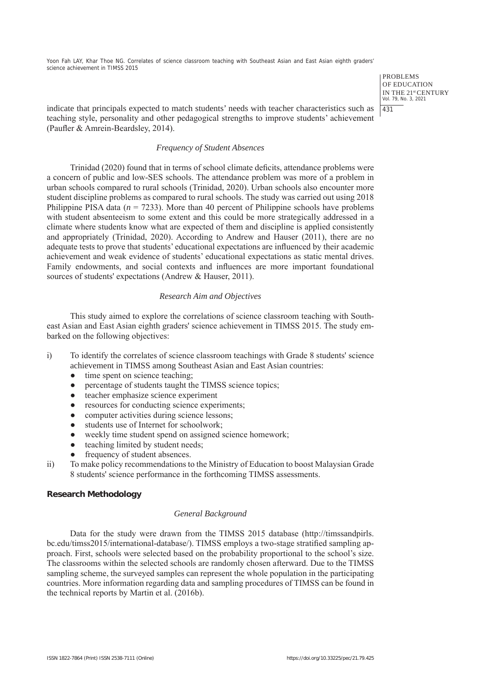> PROBLEMS OF EDUCATION IN THE 21st CENTURY Vol. 79, No. 3, 2021 431

indicate that principals expected to match students' needs with teacher characteristics such as teaching style, personality and other pedagogical strengths to improve students' achievement (Paufler & Amrein-Beardsley, 2014).

## *Frequency of Student Absences*

Trinidad (2020) found that in terms of school climate deficits, attendance problems were a concern of public and low-SES schools. The attendance problem was more of a problem in urban schools compared to rural schools (Trinidad, 2020). Urban schools also encounter more student discipline problems as compared to rural schools. The study was carried out using 2018 Philippine PISA data  $(n = 7233)$ . More than 40 percent of Philippine schools have problems with student absenteeism to some extent and this could be more strategically addressed in a climate where students know what are expected of them and discipline is applied consistently and appropriately (Trinidad, 2020). According to Andrew and Hauser (2011), there are no adequate tests to prove that students' educational expectations are influenced by their academic achievement and weak evidence of students' educational expectations as static mental drives. Family endowments, and social contexts and influences are more important foundational sources of students' expectations (Andrew & Hauser, 2011).

## *Research Aim and Objectives*

This study aimed to explore the correlations of science classroom teaching with Southeast Asian and East Asian eighth graders' science achievement in TIMSS 2015. The study embarked on the following objectives:

- i) To identify the correlates of science classroom teachings with Grade 8 students' science achievement in TIMSS among Southeast Asian and East Asian countries:
	- time spent on science teaching:
	- percentage of students taught the TIMSS science topics;
	- teacher emphasize science experiment
	- resources for conducting science experiments;
	- computer activities during science lessons;
	- students use of Internet for schoolwork;
	- weekly time student spend on assigned science homework;
	- teaching limited by student needs;
	- frequency of student absences.
- ii) To make policy recommendations to the Ministry of Education to boost Malaysian Grade 8 students' science performance in the forthcoming TIMSS assessments.

# **Research Methodology**

## *General Background*

Data for the study were drawn from the TIMSS 2015 database (http://timssandpirls. bc.edu/timss2015/international-database/). TIMSS employs a two-stage stratified sampling approach. First, schools were selected based on the probability proportional to the school's size. The classrooms within the selected schools are randomly chosen afterward. Due to the TIMSS sampling scheme, the surveyed samples can represent the whole population in the participating countries. More information regarding data and sampling procedures of TIMSS can be found in the technical reports by Martin et al. (2016b).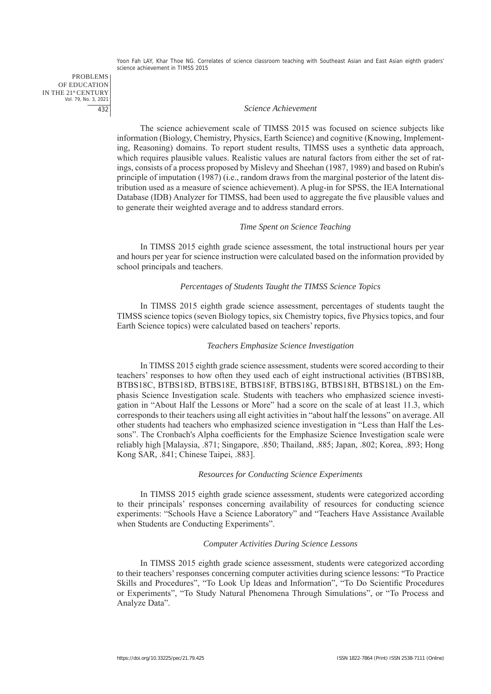PROBLEMS OF EDUCATION IN THE 21st CENTURY Vol. 79, No. 3, 2021 432

#### *Science Achievement*

The science achievement scale of TIMSS 2015 was focused on science subjects like information (Biology, Chemistry, Physics, Earth Science) and cognitive (Knowing, Implementing, Reasoning) domains. To report student results, TIMSS uses a synthetic data approach, which requires plausible values. Realistic values are natural factors from either the set of ratings, consists of a process proposed by Mislevy and Sheehan (1987, 1989) and based on Rubin's principle of imputation (1987) (i.e., random draws from the marginal posterior of the latent distribution used as a measure of science achievement). A plug-in for SPSS, the IEA International Database (IDB) Analyzer for TIMSS, had been used to aggregate the five plausible values and to generate their weighted average and to address standard errors.

## *Time Spent on Science Teaching*

In TIMSS 2015 eighth grade science assessment, the total instructional hours per year and hours per year for science instruction were calculated based on the information provided by school principals and teachers.

#### *Percentages of Students Taught the TIMSS Science Topics*

In TIMSS 2015 eighth grade science assessment, percentages of students taught the TIMSS science topics (seven Biology topics, six Chemistry topics, five Physics topics, and four Earth Science topics) were calculated based on teachers' reports.

#### *Teachers Emphasize Science Investigation*

In TIMSS 2015 eighth grade science assessment, students were scored according to their teachers' responses to how often they used each of eight instructional activities (BTBS18B, BTBS18C, BTBS18D, BTBS18E, BTBS18F, BTBS18G, BTBS18H, BTBS18L) on the Emphasis Science Investigation scale. Students with teachers who emphasized science investigation in "About Half the Lessons or More" had a score on the scale of at least 11.3, which corresponds to their teachers using all eight activities in "about half the lessons" on average. All other students had teachers who emphasized science investigation in "Less than Half the Lessons". The Cronbach's Alpha coefficients for the Emphasize Science Investigation scale were reliably high [Malaysia, .871; Singapore, .850; Thailand, .885; Japan, .802; Korea, .893; Hong Kong SAR, .841; Chinese Taipei, .883].

## *Resources for Conducting Science Experiments*

In TIMSS 2015 eighth grade science assessment, students were categorized according to their principals' responses concerning availability of resources for conducting science experiments: "Schools Have a Science Laboratory" and "Teachers Have Assistance Available when Students are Conducting Experiments".

#### *Computer Activities During Science Lessons*

In TIMSS 2015 eighth grade science assessment, students were categorized according to their teachers' responses concerning computer activities during science lessons: "To Practice Skills and Procedures", "To Look Up Ideas and Information", "To Do Scientific Procedures or Experiments", "To Study Natural Phenomena Through Simulations", or "To Process and Analyze Data".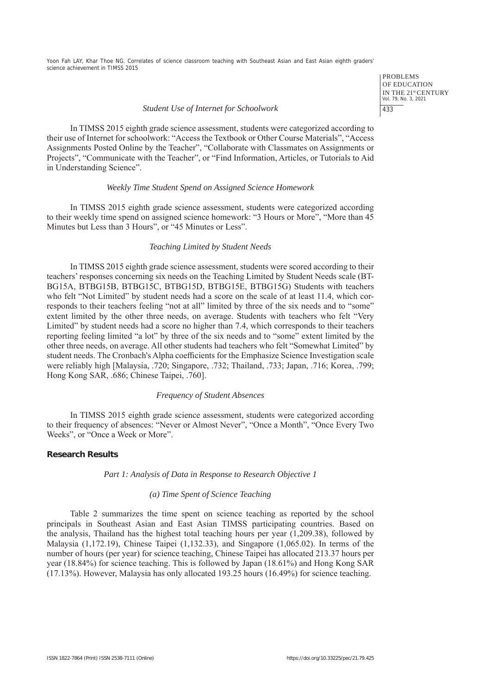> PROBLEMS OF EDUCATION IN THE 21st CENTURY Vol. 79, No. 3, 2021 433

#### *Student Use of Internet for Schoolwork*

In TIMSS 2015 eighth grade science assessment, students were categorized according to their use of Internet for schoolwork: "Access the Textbook or Other Course Materials", "Access Assignments Posted Online by the Teacher", "Collaborate with Classmates on Assignments or Projects", "Communicate with the Teacher", or "Find Information, Articles, or Tutorials to Aid in Understanding Science".

## *Weekly Time Student Spend on Assigned Science Homework*

In TIMSS 2015 eighth grade science assessment, students were categorized according to their weekly time spend on assigned science homework: "3 Hours or More", "More than 45 Minutes but Less than 3 Hours", or "45 Minutes or Less".

## *Teaching Limited by Student Needs*

In TIMSS 2015 eighth grade science assessment, students were scored according to their teachers' responses concerning six needs on the Teaching Limited by Student Needs scale (BT-BG15A, BTBG15B, BTBG15C, BTBG15D, BTBG15E, BTBG15G) Students with teachers who felt "Not Limited" by student needs had a score on the scale of at least 11.4, which corresponds to their teachers feeling "not at all" limited by three of the six needs and to "some" extent limited by the other three needs, on average. Students with teachers who felt "Very Limited" by student needs had a score no higher than 7.4, which corresponds to their teachers reporting feeling limited "a lot" by three of the six needs and to "some" extent limited by the other three needs, on average. All other students had teachers who felt "Somewhat Limited" by student needs. The Cronbach's Alpha coefficients for the Emphasize Science Investigation scale were reliably high [Malaysia, .720; Singapore, .732; Thailand, .733; Japan, .716; Korea, .799; Hong Kong SAR, .686; Chinese Taipei, .760].

#### *Frequency of Student Absences*

In TIMSS 2015 eighth grade science assessment, students were categorized according to their frequency of absences: "Never or Almost Never", "Once a Month", "Once Every Two Weeks", or "Once a Week or More".

## **Research Results**

#### *Part 1: Analysis of Data in Response to Research Objective 1*

## *(a) Time Spent of Science Teaching*

Table 2 summarizes the time spent on science teaching as reported by the school principals in Southeast Asian and East Asian TIMSS participating countries. Based on the analysis, Thailand has the highest total teaching hours per year (1,209.38), followed by Malaysia (1,172.19), Chinese Taipei (1,132.33), and Singapore (1,065.02). In terms of the number of hours (per year) for science teaching, Chinese Taipei has allocated 213.37 hours per year (18.84%) for science teaching. This is followed by Japan (18.61%) and Hong Kong SAR (17.13%). However, Malaysia has only allocated 193.25 hours (16.49%) for science teaching.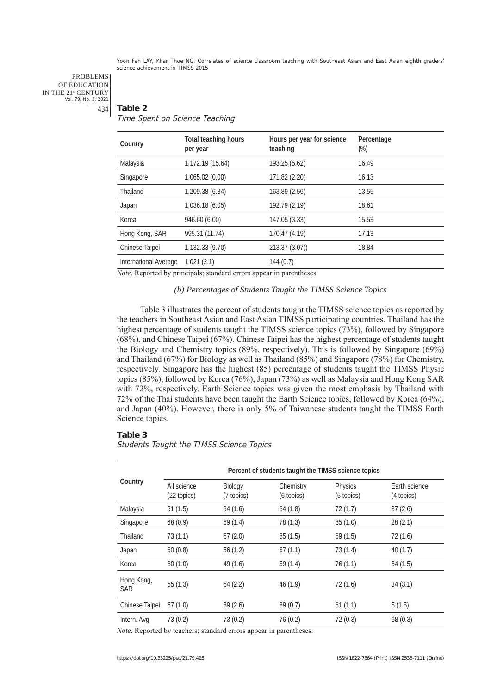#### PROBLEMS OF EDUCATION IN THE 21st CENTURY Vol. 79, No. 3, 2021 434

## **Table 2**

Time Spent on Science Teaching

| Country               | <b>Total teaching hours</b><br>per year | Hours per year for science<br>teaching | Percentage<br>$(\%)$ |
|-----------------------|-----------------------------------------|----------------------------------------|----------------------|
| Malaysia              | 1,172.19 (15.64)                        | 193.25 (5.62)                          | 16.49                |
| Singapore             | 1,065.02 (0.00)                         | 171.82 (2.20)                          | 16.13                |
| Thailand              | 1,209.38 (6.84)                         | 163.89 (2.56)                          | 13.55                |
| Japan                 | 1,036.18 (6.05)                         | 192.79 (2.19)                          | 18.61                |
| Korea                 | 946.60 (6.00)                           | 147.05 (3.33)                          | 15.53                |
| Hong Kong, SAR        | 995.31 (11.74)                          | 170.47 (4.19)                          | 17.13                |
| Chinese Taipei        | 1,132.33 (9.70)                         | 213.37(3.07)                           | 18.84                |
| International Average | 1,021(2.1)                              | 144(0.7)                               |                      |

*Note.* Reported by principals; standard errors appear in parentheses.

#### *(b) Percentages of Students Taught the TIMSS Science Topics*

Table 3 illustrates the percent of students taught the TIMSS science topics as reported by the teachers in Southeast Asian and East Asian TIMSS participating countries. Thailand has the highest percentage of students taught the TIMSS science topics (73%), followed by Singapore (68%), and Chinese Taipei (67%). Chinese Taipei has the highest percentage of students taught the Biology and Chemistry topics (89%, respectively). This is followed by Singapore (69%) and Thailand (67%) for Biology as well as Thailand (85%) and Singapore (78%) for Chemistry, respectively. Singapore has the highest (85) percentage of students taught the TIMSS Physic topics (85%), followed by Korea (76%), Japan (73%) as well as Malaysia and Hong Kong SAR with 72%, respectively. Earth Science topics was given the most emphasis by Thailand with 72% of the Thai students have been taught the Earth Science topics, followed by Korea (64%), and Japan (40%). However, there is only 5% of Taiwanese students taught the TIMSS Earth Science topics.

## **Table 3**

Students Taught the TIMSS Science Topics

|                          | Percent of students taught the TIMSS science topics |                       |                         |                       |                             |  |  |  |
|--------------------------|-----------------------------------------------------|-----------------------|-------------------------|-----------------------|-----------------------------|--|--|--|
| Country                  | All science<br>(22 topics)                          | Biology<br>(7 topics) | Chemistry<br>(6 topics) | Physics<br>(5 topics) | Earth science<br>(4 topics) |  |  |  |
| Malaysia                 | 61(1.5)                                             | 64(1.6)               | 64(1.8)                 | 72(1.7)               | 37(2.6)                     |  |  |  |
| Singapore                | 68(0.9)                                             | 69(1.4)               | 78 (1.3)                | 85 (1.0)              | 28(2.1)                     |  |  |  |
| Thailand                 | 73(1.1)                                             | 67(2.0)               | 85(1.5)                 | 69(1.5)               | 72(1.6)                     |  |  |  |
| Japan                    | 60(0.8)                                             | 56(1.2)               | 67(1.1)                 | 73(1.4)               | 40(1.7)                     |  |  |  |
| Korea                    | 60(1.0)                                             | 49 (1.6)              | 59(1.4)                 | 76(1.1)               | 64(1.5)                     |  |  |  |
| Hong Kong,<br><b>SAR</b> | 55(1.3)                                             | 64(2.2)               | 46(1.9)                 | 72(1.6)               | 34(3.1)                     |  |  |  |
| Chinese Taipei           | 67(1.0)                                             | 89(2.6)               | 89(0.7)                 | 61(1.1)               | 5(1.5)                      |  |  |  |
| Intern. Avg              | 73(0.2)                                             | 73 (0.2)              | 76(0.2)                 | 72(0.3)               | 68(0.3)                     |  |  |  |

*Note.* Reported by teachers; standard errors appear in parentheses.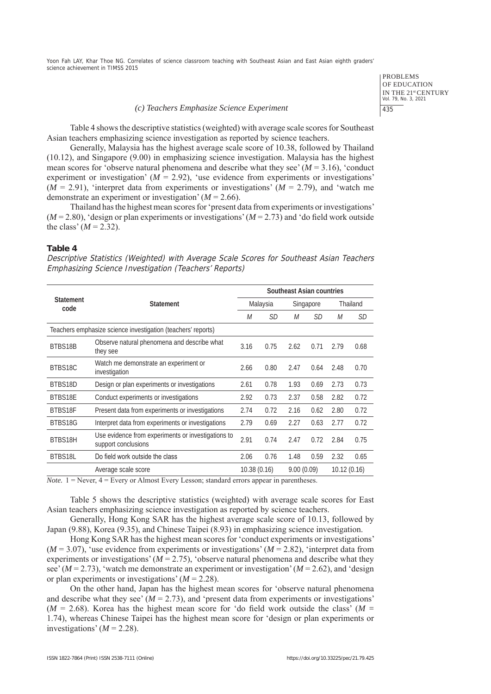#### *(c) Teachers Emphasize Science Experiment*

PROBLEMS OF EDUCATION IN THE 21st CENTURY Vol. 79, No. 3, 2021 435

Table 4 shows the descriptive statistics (weighted) with average scale scores for Southeast Asian teachers emphasizing science investigation as reported by science teachers.

Generally, Malaysia has the highest average scale score of 10.38, followed by Thailand (10.12), and Singapore (9.00) in emphasizing science investigation. Malaysia has the highest mean scores for 'observe natural phenomena and describe what they see' (*M* = 3.16), 'conduct experiment or investigation'  $(M = 2.92)$ , 'use evidence from experiments or investigations'  $(M = 2.91)$ , 'interpret data from experiments or investigations'  $(M = 2.79)$ , and 'watch me demonstrate an experiment or investigation' (*M* = 2.66).

Thailand has the highest mean scores for 'present data from experiments or investigations' (*M* = 2.80), 'design or plan experiments or investigations' (*M* = 2.73) and 'do field work outside the class'  $(M = 2.32)$ .

## **Table 4**

Descriptive Statistics (Weighted) with Average Scale Scores for Southeast Asian Teachers Emphasizing Science Investigation (Teachers' Reports)

|                                                              | <b>Statement</b>                                                          |             | Southeast Asian countries |            |           |             |           |
|--------------------------------------------------------------|---------------------------------------------------------------------------|-------------|---------------------------|------------|-----------|-------------|-----------|
| <b>Statement</b><br>code                                     |                                                                           |             | Malaysia                  |            | Singapore |             | Thailand  |
|                                                              |                                                                           | М           | <i>SD</i>                 | М          | <i>SD</i> | М           | <i>SD</i> |
| Teachers emphasize science investigation (teachers' reports) |                                                                           |             |                           |            |           |             |           |
| BTBS18B                                                      | Observe natural phenomena and describe what<br>they see                   | 3.16        | 0.75                      | 2.62       | 0.71      | 2.79        | 0.68      |
| BTBS18C                                                      | Watch me demonstrate an experiment or<br>investigation                    | 2.66        | 0.80                      | 2.47       | 0.64      | 2.48        | 0.70      |
| BTBS18D                                                      | Design or plan experiments or investigations                              | 2.61        | 0.78                      | 1.93       | 0.69      | 2.73        | 0.73      |
| BTBS18E                                                      | Conduct experiments or investigations                                     | 2.92        | 0.73                      | 2.37       | 0.58      | 2.82        | 0.72      |
| BTBS18F                                                      | Present data from experiments or investigations                           | 2.74        | 0.72                      | 2.16       | 0.62      | 2.80        | 0.72      |
| BTBS18G                                                      | Interpret data from experiments or investigations                         | 2.79        | 0.69                      | 2.27       | 0.63      | 2.77        | 0.72      |
| BTBS18H                                                      | Use evidence from experiments or investigations to<br>support conclusions | 2.91        | 0.74                      | 2.47       | 0.72      | 2.84        | 0.75      |
| BTBS18L                                                      | Do field work outside the class                                           | 2.06        | 0.76                      | 1.48       | 0.59      | 2.32        | 0.65      |
|                                                              | Average scale score                                                       | 10.38(0.16) |                           | 9.00(0.09) |           | 10.12(0.16) |           |

 $$ 

Table 5 shows the descriptive statistics (weighted) with average scale scores for East Asian teachers emphasizing science investigation as reported by science teachers.

Generally, Hong Kong SAR has the highest average scale score of 10.13, followed by Japan (9.88), Korea (9.35), and Chinese Taipei (8.93) in emphasizing science investigation.

Hong Kong SAR has the highest mean scores for 'conduct experiments or investigations'  $(M = 3.07)$ , 'use evidence from experiments or investigations'  $(M = 2.82)$ , 'interpret data from experiments or investigations'  $(M = 2.75)$ , 'observe natural phenomena and describe what they see'  $(M = 2.73)$ , 'watch me demonstrate an experiment or investigation'  $(M = 2.62)$ , and 'design or plan experiments or investigations' (*M* = 2.28).

On the other hand, Japan has the highest mean scores for 'observe natural phenomena and describe what they see'  $(M = 2.73)$ , and 'present data from experiments or investigations'  $(M = 2.68)$ . Korea has the highest mean score for 'do field work outside the class'  $(M = 10^{-10})$ 1.74), whereas Chinese Taipei has the highest mean score for 'design or plan experiments or investigations'  $(M = 2.28)$ .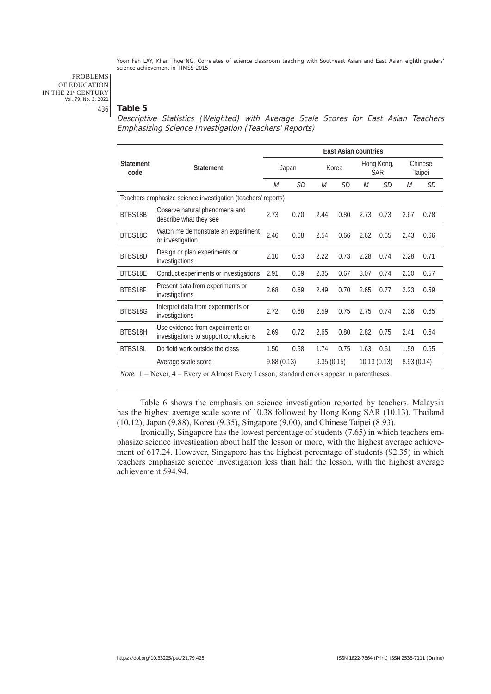PROBLEMS OF EDUCATION IN THE 21st CENTURY Vol. 79, No. 3, 2021 436

## **Table 5**

Descriptive Statistics (Weighted) with Average Scale Scores for East Asian Teachers Emphasizing Science Investigation (Teachers' Reports)

|                          |                                                                                                                                      | <b>East Asian countries</b> |           |            |       |      |                          |            |                   |
|--------------------------|--------------------------------------------------------------------------------------------------------------------------------------|-----------------------------|-----------|------------|-------|------|--------------------------|------------|-------------------|
| <b>Statement</b><br>code | <b>Statement</b>                                                                                                                     | Japan                       |           |            | Korea |      | Hong Kong,<br><b>SAR</b> |            | Chinese<br>Taipei |
|                          |                                                                                                                                      | М                           | <b>SD</b> | М          | SD    | М    | <i>SD</i>                | М          | SD                |
|                          | Teachers emphasize science investigation (teachers' reports)                                                                         |                             |           |            |       |      |                          |            |                   |
| BTBS18B                  | Observe natural phenomena and<br>describe what they see                                                                              | 2.73                        | 0.70      | 2.44       | 0.80  | 2.73 | 0.73                     | 2.67       | 0.78              |
| BTBS18C                  | Watch me demonstrate an experiment<br>or investigation                                                                               | 2.46                        | 0.68      | 2.54       | 0.66  | 2.62 | 0.65                     | 2.43       | 0.66              |
| BTBS18D                  | Design or plan experiments or<br>investigations                                                                                      | 2.10                        | 0.63      | 2.22       | 0.73  | 2.28 | 0.74                     | 2.28       | 0.71              |
| BTBS18E                  | Conduct experiments or investigations                                                                                                | 2.91                        | 0.69      | 2.35       | 0.67  | 3.07 | 0.74                     | 2.30       | 0.57              |
| BTBS18F                  | Present data from experiments or<br>investigations                                                                                   | 2.68                        | 0.69      | 2.49       | 0.70  | 2.65 | 0.77                     | 2.23       | 0.59              |
| BTBS18G                  | Interpret data from experiments or<br>investigations                                                                                 | 2.72                        | 0.68      | 2.59       | 0.75  | 2.75 | 0.74                     | 2.36       | 0.65              |
| BTBS18H                  | Use evidence from experiments or<br>investigations to support conclusions                                                            | 2.69                        | 0.72      | 2.65       | 0.80  | 2.82 | 0.75                     | 2.41       | 0.64              |
| BTBS18L                  | Do field work outside the class                                                                                                      | 1.50                        | 0.58      | 1.74       | 0.75  | 1.63 | 0.61                     | 1.59       | 0.65              |
|                          | Average scale score                                                                                                                  | 9.88(0.13)                  |           | 9.35(0.15) |       |      | 10.13(0.13)              | 8.93(0.14) |                   |
|                          | $N_{obs}$ , $1 = N_{system}$ , $A = E_{system}$ , on $\Lambda$ line ast Expans I, assampt atom dand any association in managetheorea |                             |           |            |       |      |                          |            |                   |

*Note.* 1 = Never, 4 = Every or Almost Every Lesson; standard errors appear in parentheses.

Table 6 shows the emphasis on science investigation reported by teachers. Malaysia has the highest average scale score of 10.38 followed by Hong Kong SAR (10.13), Thailand (10.12), Japan (9.88), Korea (9.35), Singapore (9.00), and Chinese Taipei (8.93).

Ironically, Singapore has the lowest percentage of students (7.65) in which teachers emphasize science investigation about half the lesson or more, with the highest average achievement of 617.24. However, Singapore has the highest percentage of students (92.35) in which teachers emphasize science investigation less than half the lesson, with the highest average achievement 594.94.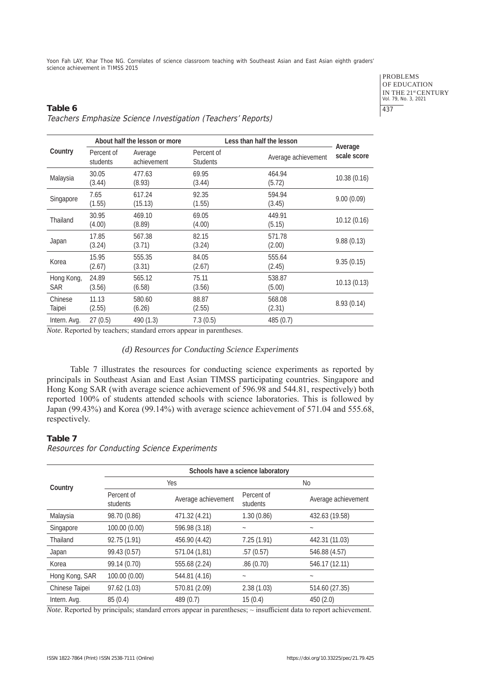> PROBLEMS OF EDUCATION IN THE 21<sup>st</sup> CENTURY<br>Vol. 79, No. 3, 2021 437

# **Table 6** Teachers Emphasize Science Investigation (Teachers' Reports)

|                          | About half the lesson or more |                        | Less than half the lesson     |                     |                        |  |
|--------------------------|-------------------------------|------------------------|-------------------------------|---------------------|------------------------|--|
| Country                  | Percent of<br>students        | Average<br>achievement | Percent of<br><b>Students</b> | Average achievement | Average<br>scale score |  |
| Malaysia                 | 30.05<br>(3.44)               | 477.63<br>(8.93)       | 69.95<br>(3.44)               | 464.94<br>(5.72)    | 10.38 (0.16)           |  |
| Singapore                | 7.65<br>(1.55)                | 617.24<br>(15.13)      | 92.35<br>(1.55)               | 594.94<br>(3.45)    | 9.00(0.09)             |  |
| Thailand                 | 30.95<br>(4.00)               | 469.10<br>(8.89)       | 69.05<br>(4.00)               | 449.91<br>(5.15)    | 10.12 (0.16)           |  |
| Japan                    | 17.85<br>(3.24)               | 567.38<br>(3.71)       | 82.15<br>(3.24)               | 571.78<br>(2.00)    | 9.88(0.13)             |  |
| Korea                    | 15.95<br>(2.67)               | 555.35<br>(3.31)       | 84.05<br>(2.67)               | 555.64<br>(2.45)    | 9.35(0.15)             |  |
| Hong Kong,<br><b>SAR</b> | 24.89<br>(3.56)               | 565.12<br>(6.58)       | 75.11<br>(3.56)               | 538.87<br>(5.00)    | 10.13(0.13)            |  |
| Chinese<br>Taipei        | 11.13<br>(2.55)               | 580.60<br>(6.26)       | 88.87<br>(2.55)               | 568.08<br>(2.31)    | 8.93 (0.14)            |  |
| Intern. Avg.             | 27(0.5)                       | 490 (1.3)              | 7.3(0.5)                      | 485 (0.7)           |                        |  |

*Note.* Reported by teachers; standard errors appear in parentheses.

## *(d) Resources for Conducting Science Experiments*

Table 7 illustrates the resources for conducting science experiments as reported by principals in Southeast Asian and East Asian TIMSS participating countries. Singapore and Hong Kong SAR (with average science achievement of 596.98 and 544.81, respectively) both reported 100% of students attended schools with science laboratories. This is followed by Japan (99.43%) and Korea (99.14%) with average science achievement of 571.04 and 555.68, respectively.

# **Table 7**

Resources for Conducting Science Experiments

|                | Schools have a science laboratory |                     |                           |                     |  |  |  |
|----------------|-----------------------------------|---------------------|---------------------------|---------------------|--|--|--|
| Country        |                                   | Yes                 | No                        |                     |  |  |  |
|                | Percent of<br>students            | Average achievement | Percent of<br>students    | Average achievement |  |  |  |
| Malaysia       | 98.70 (0.86)                      | 471.32 (4.21)       | 1.30(0.86)                | 432.63 (19.58)      |  |  |  |
| Singapore      | 100.00 (0.00)                     | 596.98 (3.18)       | $\tilde{}$                | $\tilde{}$          |  |  |  |
| Thailand       | 92.75 (1.91)                      | 456.90 (4.42)       | 7.25(1.91)                | 442.31 (11.03)      |  |  |  |
| Japan          | 99.43 (0.57)                      | 571.04 (1,81)       | .57(0.57)                 | 546.88 (4.57)       |  |  |  |
| Korea          | 99.14 (0.70)                      | 555.68 (2.24)       | .86(0.70)                 | 546.17 (12.11)      |  |  |  |
| Hong Kong, SAR | 100.00 (0.00)                     | 544.81 (4.16)       | $\widetilde{\phantom{m}}$ |                     |  |  |  |
| Chinese Taipei | 97.62 (1.03)                      | 570.81 (2.09)       | 2.38(1.03)                | 514.60 (27.35)      |  |  |  |
| Intern. Avg.   | 85(0.4)                           | 489(0.7)            | 15(0.4)                   | 450(2.0)            |  |  |  |

*Note.* Reported by principals; standard errors appear in parentheses;  $\sim$  insufficient data to report achievement.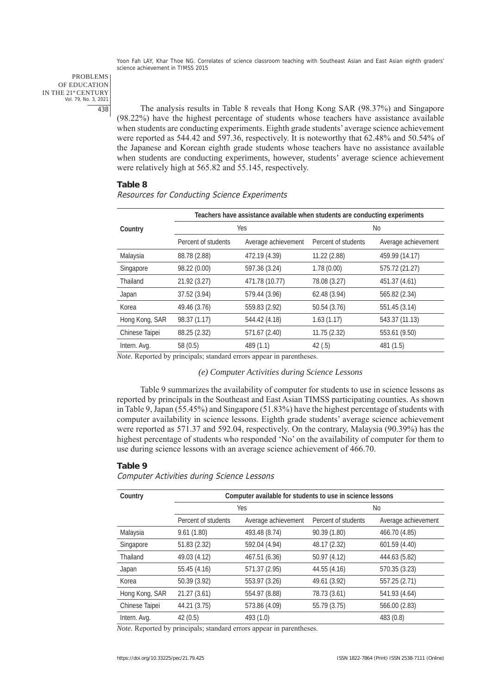PROBLEMS OF EDUCATION IN THE 21st CENTURY Vol. 79, No. 3, 2021 438

The analysis results in Table 8 reveals that Hong Kong SAR (98.37%) and Singapore (98.22%) have the highest percentage of students whose teachers have assistance available when students are conducting experiments. Eighth grade students' average science achievement were reported as 544.42 and 597.36, respectively. It is noteworthy that 62.48% and 50.54% of the Japanese and Korean eighth grade students whose teachers have no assistance available when students are conducting experiments, however, students' average science achievement were relatively high at 565.82 and 55.145, respectively.

## **Table 8**

## Resources for Conducting Science Experiments

|                |                     |                     | Teachers have assistance available when students are conducting experiments |                     |  |  |
|----------------|---------------------|---------------------|-----------------------------------------------------------------------------|---------------------|--|--|
| Country        |                     | Yes                 |                                                                             | No.                 |  |  |
|                | Percent of students | Average achievement | Percent of students                                                         | Average achievement |  |  |
| Malaysia       | 88.78 (2.88)        | 472.19 (4.39)       | 11.22 (2.88)                                                                | 459.99 (14.17)      |  |  |
| Singapore      | 98.22 (0.00)        | 597.36 (3.24)       | 1.78(0.00)                                                                  | 575.72 (21.27)      |  |  |
| Thailand       | 21.92 (3.27)        | 471.78 (10.77)      | 78.08 (3.27)                                                                | 451.37 (4.61)       |  |  |
| Japan          | 37.52 (3.94)        | 579.44 (3.96)       | 62.48 (3.94)                                                                | 565.82 (2.34)       |  |  |
| Korea          | 49.46 (3.76)        | 559.83 (2.92)       | 50.54 (3.76)                                                                | 551.45 (3.14)       |  |  |
| Hong Kong, SAR | 98.37 (1.17)        | 544.42 (4.18)       | 1.63(1.17)                                                                  | 543.37 (11.13)      |  |  |
| Chinese Taipei | 88.25 (2.32)        | 571.67 (2.40)       | 11.75 (2.32)                                                                | 553.61 (9.50)       |  |  |
| Intern. Avg.   | 58(0.5)             | 489 (1.1)           | 42(.5)                                                                      | 481 (1.5)           |  |  |

*Note.* Reported by principals; standard errors appear in parentheses.

#### *(e) Computer Activities during Science Lessons*

Table 9 summarizes the availability of computer for students to use in science lessons as reported by principals in the Southeast and East Asian TIMSS participating counties. As shown in Table 9, Japan (55.45%) and Singapore (51.83%) have the highest percentage of students with computer availability in science lessons. Eighth grade students' average science achievement were reported as 571.37 and 592.04, respectively. On the contrary, Malaysia (90.39%) has the highest percentage of students who responded 'No' on the availability of computer for them to use during science lessons with an average science achievement of 466.70.

## **Table 9**

#### Computer Activities during Science Lessons

| Country        | Computer available for students to use in science lessons |                     |                     |                     |  |  |  |
|----------------|-----------------------------------------------------------|---------------------|---------------------|---------------------|--|--|--|
|                | <b>Yes</b>                                                |                     | No.                 |                     |  |  |  |
|                | Percent of students                                       | Average achievement | Percent of students | Average achievement |  |  |  |
| Malaysia       | 9.61(1.80)                                                | 493.48 (8.74)       | 90.39 (1.80)        | 466.70 (4.85)       |  |  |  |
| Singapore      | 51.83 (2.32)                                              | 592.04 (4.94)       | 48.17 (2.32)        | 601.59 (4.40)       |  |  |  |
| Thailand       | 49.03 (4.12)                                              | 467.51 (6.36)       | 50.97 (4.12)        | 444.63 (5.82)       |  |  |  |
| Japan          | 55.45 (4.16)                                              | 571.37 (2.95)       | 44.55 (4.16)        | 570.35 (3.23)       |  |  |  |
| Korea          | 50.39 (3.92)                                              | 553.97 (3.26)       | 49.61 (3.92)        | 557.25 (2.71)       |  |  |  |
| Hong Kong, SAR | 21.27(3.61)                                               | 554.97 (8.88)       | 78.73 (3.61)        | 541.93 (4.64)       |  |  |  |
| Chinese Taipei | 44.21 (3.75)                                              | 573.86 (4.09)       | 55.79 (3.75)        | 566.00 (2.83)       |  |  |  |
| Intern. Avg.   | 42(0.5)                                                   | 493 (1.0)           |                     | 483 (0.8)           |  |  |  |

*Note.* Reported by principals; standard errors appear in parentheses.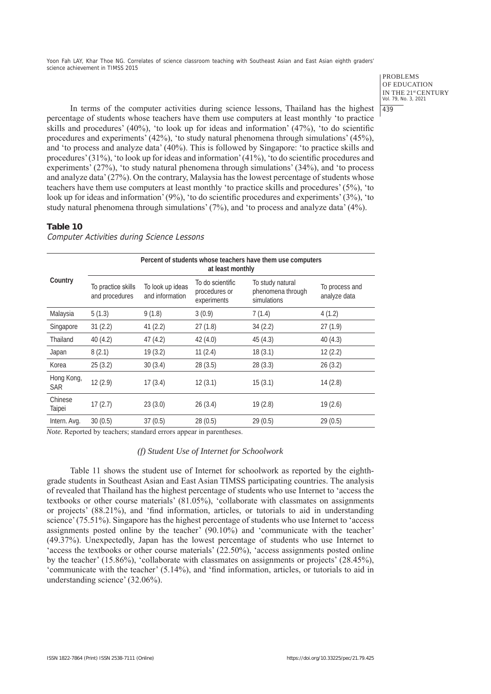#### PROBLEMS OF EDUCATION IN THE 21st CENTURY Vol. 79, No. 3, 2021 439

In terms of the computer activities during science lessons, Thailand has the highest percentage of students whose teachers have them use computers at least monthly 'to practice skills and procedures' (40%), 'to look up for ideas and information' (47%), 'to do scientific procedures and experiments' (42%), 'to study natural phenomena through simulations' (45%), and 'to process and analyze data' (40%). This is followed by Singapore: 'to practice skills and procedures' (31%), 'to look up for ideas and information' (41%), 'to do scientific procedures and experiments' (27%), 'to study natural phenomena through simulations' (34%), and 'to process and analyze data' (27%). On the contrary, Malaysia has the lowest percentage of students whose teachers have them use computers at least monthly 'to practice skills and procedures' (5%), 'to look up for ideas and information' (9%), 'to do scientific procedures and experiments' (3%), 'to study natural phenomena through simulations' (7%), and 'to process and analyze data' (4%).

## **Table 10**

**Country Percent of students whose teachers have them use computers at least monthly** To practice skills and procedures To look up ideas and information To do scientific procedures or experiments To study natural phenomena through simulations To process and analyze data Malaysia 5 (1.3) 9 (1.8) 3 (0.9) 7 (1.4) 4 (1.2) Singapore 31 (2.2) 41 (2.2) 27 (1.8) 34 (2.2) 27 (1.9) Thailand 40 (4.2) 47 (4.2) 42 (4.0) 45 (4.3) 40 (4.3) Japan 8 (2.1) 19 (3.2) 11 (2.4) 18 (3.1) 12 (2.2) Korea 25 (3.2) 30 (3.4) 28 (3.5) 28 (3.3) 26 (3.2) Hong Kong, 13 (3.1) 12 (2.9) 17 (3.4) 12 (3.1) 15 (3.1) 14 (2.8) Chinese Taipei 17 (2.7) 23 (3.0) 26 (3.4) 19 (2.8) 19 (2.6) Intern. Avg. 30 (0.5) 37 (0.5) 28 (0.5) 29 (0.5) 29 (0.5)

Computer Activities during Science Lessons

*Note.* Reported by teachers; standard errors appear in parentheses.

## *(f) Student Use of Internet for Schoolwork*

Table 11 shows the student use of Internet for schoolwork as reported by the eighthgrade students in Southeast Asian and East Asian TIMSS participating countries. The analysis of revealed that Thailand has the highest percentage of students who use Internet to 'access the textbooks or other course materials' (81.05%), 'collaborate with classmates on assignments or projects' (88.21%), and 'find information, articles, or tutorials to aid in understanding science' (75.51%). Singapore has the highest percentage of students who use Internet to 'access assignments posted online by the teacher' (90.10%) and 'communicate with the teacher' (49.37%). Unexpectedly, Japan has the lowest percentage of students who use Internet to 'access the textbooks or other course materials' (22.50%), 'access assignments posted online by the teacher' (15.86%), 'collaborate with classmates on assignments or projects' (28.45%), 'communicate with the teacher' (5.14%), and 'find information, articles, or tutorials to aid in understanding science' (32.06%).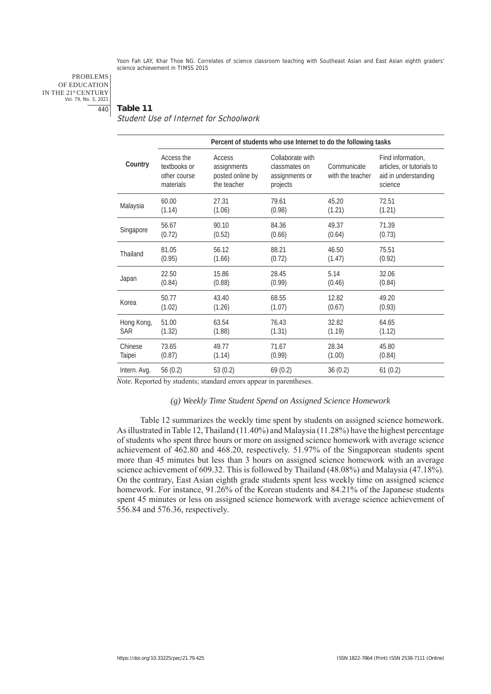PROBLEMS OF EDUCATION IN THE 21st CENTURY Vol. 79, No. 3, 2021 440

## **Table 11**

Student Use of Internet for Schoolwork

|                              | Percent of students who use Internet to do the following tasks |                                                          |                                                                 |                                 |                                                                                   |  |  |  |
|------------------------------|----------------------------------------------------------------|----------------------------------------------------------|-----------------------------------------------------------------|---------------------------------|-----------------------------------------------------------------------------------|--|--|--|
| Country                      | Access the<br>textbooks or<br>other course<br>materials        | Access<br>assignments<br>posted online by<br>the teacher | Collaborate with<br>classmates on<br>assignments or<br>projects | Communicate<br>with the teacher | Find information,<br>articles, or tutorials to<br>aid in understanding<br>science |  |  |  |
| Malaysia                     | 60.00                                                          | 27.31                                                    | 79.61                                                           | 45.20                           | 72.51                                                                             |  |  |  |
|                              | (1.14)                                                         | (1.06)                                                   | (0.98)                                                          | (1.21)                          | (1.21)                                                                            |  |  |  |
| Singapore                    | 56.67                                                          | 90.10                                                    | 84.36                                                           | 49.37                           | 71.39                                                                             |  |  |  |
|                              | (0.72)                                                         | (0.52)                                                   | (0.66)                                                          | (0.64)                          | (0.73)                                                                            |  |  |  |
| Thailand                     | 81.05                                                          | 56.12                                                    | 88.21                                                           | 46.50                           | 75.51                                                                             |  |  |  |
|                              | (0.95)                                                         | (1.66)                                                   | (0.72)                                                          | (1.47)                          | (0.92)                                                                            |  |  |  |
| Japan                        | 22.50                                                          | 15.86                                                    | 28.45                                                           | 5.14                            | 32.06                                                                             |  |  |  |
|                              | (0.84)                                                         | (0.88)                                                   | (0.99)                                                          | (0.46)                          | (0.84)                                                                            |  |  |  |
| Korea                        | 50.77                                                          | 43.40                                                    | 68.55                                                           | 12.82                           | 49.20                                                                             |  |  |  |
|                              | (1.02)                                                         | (1.26)                                                   | (1.07)                                                          | (0.67)                          | (0.93)                                                                            |  |  |  |
| Hong Kong,                   | 51.00                                                          | 63.54                                                    | 76.43                                                           | 32.82                           | 64.65                                                                             |  |  |  |
| <b>SAR</b>                   | (1.32)                                                         | (1.88)                                                   | (1.31)                                                          | (1.19)                          | (1.12)                                                                            |  |  |  |
| Chinese                      | 73.65                                                          | 49.77                                                    | 71.67                                                           | 28.34                           | 45.80                                                                             |  |  |  |
| Taipei                       | (0.87)                                                         | (1.14)                                                   | (0.99)                                                          | (1.00)                          | (0.84)                                                                            |  |  |  |
| Intern. Avg.<br>$\mathbf{r}$ | 56(0.2)<br>11                                                  | 53(0.2)<br>$1 \quad 1$                                   | 69(0.2)                                                         | 36(0.2)                         | 61(0.2)                                                                           |  |  |  |

*Note.* Reported by students; standard errors appear in parentheses.

# *(g) Weekly Time Student Spend on Assigned Science Homework*

Table 12 summarizes the weekly time spent by students on assigned science homework. As illustrated in Table 12, Thailand (11.40%) and Malaysia (11.28%) have the highest percentage of students who spent three hours or more on assigned science homework with average science achievement of 462.80 and 468.20, respectively. 51.97% of the Singaporean students spent more than 45 minutes but less than 3 hours on assigned science homework with an average science achievement of 609.32. This is followed by Thailand (48.08%) and Malaysia (47.18%). On the contrary, East Asian eighth grade students spent less weekly time on assigned science homework. For instance, 91.26% of the Korean students and 84.21% of the Japanese students spent 45 minutes or less on assigned science homework with average science achievement of 556.84 and 576.36, respectively.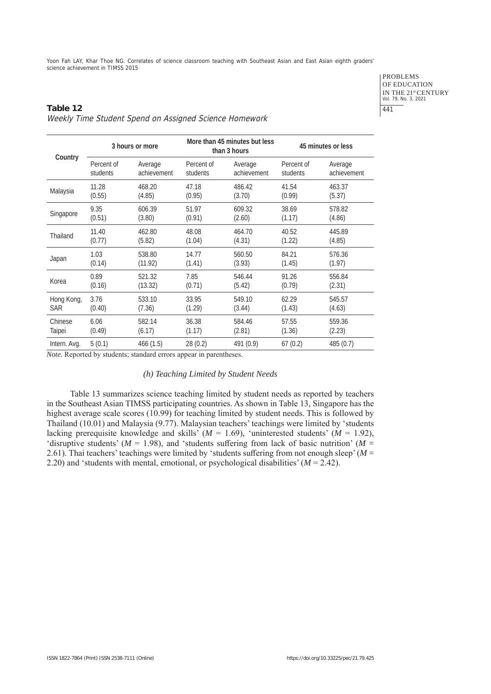# PROBLEMS OF EDUCATION IN THE 21<sup>st</sup> CENTURY<br>Vol. 79, No. 3, 2021 441

# **Table 12** Weekly Time Student Spend on Assigned Science Homework

|              | 3 hours or more |             |            | More than 45 minutes but less<br>than 3 hours | 45 minutes or less |             |  |
|--------------|-----------------|-------------|------------|-----------------------------------------------|--------------------|-------------|--|
| Country      | Percent of      | Average     | Percent of | Average                                       | Percent of         | Average     |  |
|              | students        | achievement | students   | achievement                                   | students           | achievement |  |
| Malaysia     | 11.28           | 468.20      | 47.18      | 486.42                                        | 41.54              | 463.37      |  |
|              | (0.55)          | (4.85)      | (0.95)     | (3.70)                                        | (0.99)             | (5.37)      |  |
| Singapore    | 9.35            | 606.39      | 51.97      | 609.32                                        | 38.69              | 578.82      |  |
|              | (0.51)          | (3.80)      | (0.91)     | (2.60)                                        | (1.17)             | (4.86)      |  |
| Thailand     | 11.40           | 462.80      | 48.08      | 464.70                                        | 40.52              | 445.89      |  |
|              | (0.77)          | (5.82)      | (1.04)     | (4.31)                                        | (1.22)             | (4.85)      |  |
| Japan        | 1.03            | 538.80      | 14.77      | 560.50                                        | 84.21              | 576.36      |  |
|              | (0.14)          | (11.92)     | (1.41)     | (3.93)                                        | (1.45)             | (1.97)      |  |
| Korea        | 0.89            | 521.32      | 7.85       | 546.44                                        | 91.26              | 556.84      |  |
|              | (0.16)          | (13.32)     | (0.71)     | (5.42)                                        | (0.79)             | (2.31)      |  |
| Hong Kong,   | 3.76            | 533.10      | 33.95      | 549.10                                        | 62.29              | 545.57      |  |
| SAR          | (0.40)          | (7.36)      | (1.29)     | (3.44)                                        | (1.43)             | (4.63)      |  |
| Chinese      | 6.06            | 582.14      | 36.38      | 584.46                                        | 57.55              | 559.36      |  |
| Taipei       | (0.49)          | (6.17)      | (1.17)     | (2.81)                                        | (1.36)             | (2.23)      |  |
| Intern. Avg. | 5(0.1)          | 466 (1.5)   | 28(0.2)    | 491 (0.9)                                     | 67(0.2)            | 485 (0.7)   |  |

*Note.* Reported by students; standard errors appear in parentheses.

# *(h) Teaching Limited by Student Needs*

Table 13 summarizes science teaching limited by student needs as reported by teachers in the Southeast Asian TIMSS participating countries. As shown in Table 13, Singapore has the highest average scale scores (10.99) for teaching limited by student needs. This is followed by Thailand (10.01) and Malaysia (9.77). Malaysian teachers' teachings were limited by 'students lacking prerequisite knowledge and skills'  $(M = 1.69)$ , 'uninterested students'  $(M = 1.92)$ , 'disruptive students' ( $M = 1.98$ ), and 'students suffering from lack of basic nutrition' ( $M =$ 2.61). Thai teachers' teachings were limited by 'students suffering from not enough sleep' (*M* = 2.20) and 'students with mental, emotional, or psychological disabilities' (*M* = 2.42).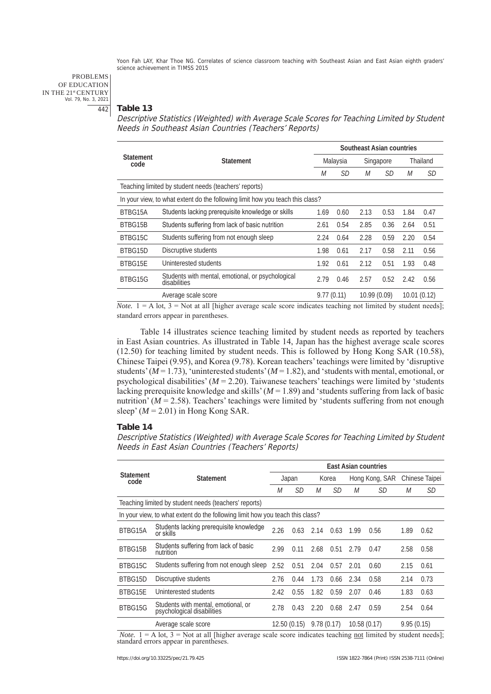PROBLEMS OF EDUCATION IN THE 21st CENTURY Vol. 79, No. 3, 2021 442

## **Table 13**

Descriptive Statistics (Weighted) with Average Scale Scores for Teaching Limited by Student Needs in Southeast Asian Countries (Teachers' Reports)

|                                                                               | <b>Statement</b>                                                  |                           | Southeast Asian countries |             |           |      |          |  |  |
|-------------------------------------------------------------------------------|-------------------------------------------------------------------|---------------------------|---------------------------|-------------|-----------|------|----------|--|--|
| <b>Statement</b><br>code                                                      |                                                                   |                           | Malaysia                  |             | Singapore |      | Thailand |  |  |
|                                                                               |                                                                   | М                         | <i>SD</i>                 | М           | <i>SD</i> | М    | SD       |  |  |
| Teaching limited by student needs (teachers' reports)                         |                                                                   |                           |                           |             |           |      |          |  |  |
| In your view, to what extent do the following limit how you teach this class? |                                                                   |                           |                           |             |           |      |          |  |  |
| BTBG15A                                                                       | Students lacking prerequisite knowledge or skills                 | 1.69                      | 0.60                      | 2.13        | 0.53      | 1.84 | 0.47     |  |  |
| BTBG15B                                                                       | Students suffering from lack of basic nutrition                   | 2.61                      | 0.54                      | 2.85        | 0.36      | 2.64 | 0.51     |  |  |
| BTBG15C                                                                       | Students suffering from not enough sleep                          | 2.24                      | 0.64                      | 2.28        | 0.59      | 2.20 | 0.54     |  |  |
| BTBG15D                                                                       | Discruptive students                                              | 1.98                      | 0.61                      | 2.17        | 0.58      | 2.11 | 0.56     |  |  |
| BTBG15E                                                                       | Uninterested students                                             | 1.92                      | 0.61                      | 2.12        | 0.51      | 1.93 | 0.48     |  |  |
| BTBG15G                                                                       | Students with mental, emotional, or psychological<br>disabilities |                           | 0.46                      | 2.57        | 0.52      | 2.42 | 0.56     |  |  |
|                                                                               | Average scale score                                               | 9.77(0.11)<br>10.99(0.09) |                           | 10.01(0.12) |           |      |          |  |  |

*Note.*  $1 = A$  lot,  $3 = Not$  at all [higher average scale score indicates teaching not limited by student needs]; standard errors appear in parentheses.

Table 14 illustrates science teaching limited by student needs as reported by teachers in East Asian countries. As illustrated in Table 14, Japan has the highest average scale scores (12.50) for teaching limited by student needs. This is followed by Hong Kong SAR (10.58), Chinese Taipei (9.95), and Korea (9.78). Korean teachers' teachings were limited by 'disruptive students'  $(M = 1.73)$ , 'uninterested students'  $(M = 1.82)$ , and 'students with mental, emotional, or psychological disabilities'  $(M = 2.20)$ . Taiwanese teachers' teachings were limited by 'students lacking prerequisite knowledge and skills' (*M* = 1.89) and 'students suffering from lack of basic nutrition' ( $M = 2.58$ ). Teachers' teachings were limited by 'students suffering from not enough sleep'  $(M = 2.01)$  in Hong Kong SAR.

## **Table 14**

Descriptive Statistics (Weighted) with Average Scale Scores for Teaching Limited by Student Needs in East Asian Countries (Teachers' Reports)

|                                                                                                                                                                  |                                                                               | <b>East Asian countries</b> |             |            |           |                |      |                |      |
|------------------------------------------------------------------------------------------------------------------------------------------------------------------|-------------------------------------------------------------------------------|-----------------------------|-------------|------------|-----------|----------------|------|----------------|------|
| <b>Statement</b><br>code                                                                                                                                         | <b>Statement</b>                                                              | Japan                       |             | Korea      |           | Hong Kong, SAR |      | Chinese Taipei |      |
|                                                                                                                                                                  |                                                                               |                             | SD          | М          | SD        | М              | SD   | М              | SD   |
|                                                                                                                                                                  | Teaching limited by student needs (teachers' reports)                         |                             |             |            |           |                |      |                |      |
|                                                                                                                                                                  | In your view, to what extent do the following limit how you teach this class? |                             |             |            |           |                |      |                |      |
| BTBG15A                                                                                                                                                          | Students lacking prerequisite knowledge<br>or skills                          | 2.26                        | 0.63        | 2.14       | 0.63      | 1.99           | 0.56 | 1.89           | 0.62 |
| BTBG15B                                                                                                                                                          | Students suffering from lack of basic<br>nutrition                            | 2.99                        | 0.11        | 2.68       | 0.51      | 2.79           | 0.47 | 2.58           | 0.58 |
| BTBG15C                                                                                                                                                          | Students suffering from not enough sleep                                      | 2.52                        | 0.51        | 2.04       | 0.57      | 2.01           | 0.60 | 2.15           | 0.61 |
| BTBG15D                                                                                                                                                          | Discruptive students                                                          | 2.76                        | 0.44        | 1.73       | 0.66      | 2.34           | 0.58 | 2.14           | 0.73 |
| BTBG15E                                                                                                                                                          | Uninterested students                                                         | 2.42                        | 0.55        | 1.82       | 0.59      | 2.07           | 0.46 | 1.83           | 0.63 |
| BTBG15G                                                                                                                                                          | Students with mental, emotional, or<br>psychological disabilities             | 2.78                        | 0.43        | 2.20       | 0.68 2.47 |                | 0.59 | 2.54           | 0.64 |
|                                                                                                                                                                  | Average scale score                                                           |                             | 12.50(0.15) | 9.78(0.17) |           | 10.58(0.17)    |      | 9.95(0.15)     |      |
| $M_{\rm BH}$ , $A = \Lambda$ and $A = \Lambda$ and $A = \Pi$ and the contract of the contract indicate the distribution of the contract of the contract of $A$ . |                                                                               |                             |             |            |           |                |      |                |      |

*Note.*  $1 = A$  lot,  $3 = Not$  at all [higher average scale score indicates teaching <u>not</u> limited by student needs]; standard errors appear in parentheses.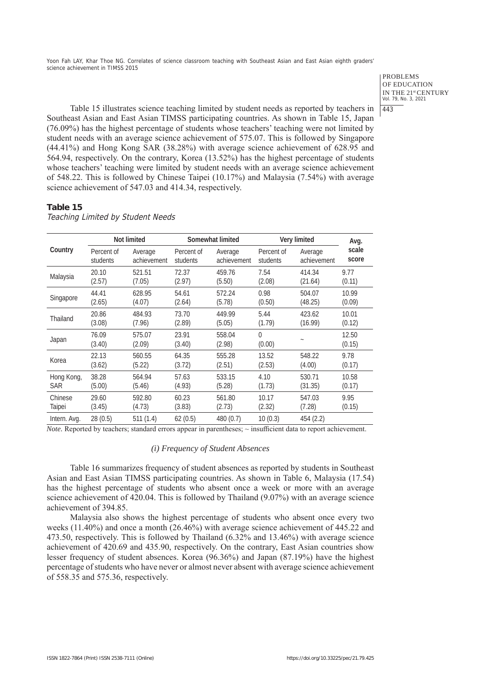> PROBLEMS OF EDUCATION IN THE 21st CENTURY Vol. 79, No. 3, 2021 443

Table 15 illustrates science teaching limited by student needs as reported by teachers in Southeast Asian and East Asian TIMSS participating countries. As shown in Table 15, Japan (76.09%) has the highest percentage of students whose teachers' teaching were not limited by student needs with an average science achievement of 575.07. This is followed by Singapore (44.41%) and Hong Kong SAR (38.28%) with average science achievement of 628.95 and 564.94, respectively. On the contrary, Korea (13.52%) has the highest percentage of students whose teachers' teaching were limited by student needs with an average science achievement of 548.22. This is followed by Chinese Taipei (10.17%) and Malaysia (7.54%) with average science achievement of 547.03 and 414.34, respectively.

## **Table 15**

Teaching Limited by Student Needs

|              | Not limited     |                  |                 | Somewhat limited | Very limited       | Avg.        |                 |  |
|--------------|-----------------|------------------|-----------------|------------------|--------------------|-------------|-----------------|--|
| Country      | Percent of      | Average          | Percent of      | Average          | Percent of         | Average     | scale           |  |
|              | students        | achievement      | students        | achievement      | students           | achievement | score           |  |
| Malaysia     | 20.10           | 521.51           | 72.37           | 459.76           | 7.54               | 414.34      | 9.77            |  |
|              | (2.57)          | (7.05)           | (2.97)          | (5.50)           | (2.08)             | (21.64)     | (0.11)          |  |
| Singapore    | 44.41           | 628.95           | 54.61           | 572.24           | 0.98               | 504.07      | 10.99           |  |
|              | (2.65)          | (4.07)           | (2.64)          | (5.78)           | (0.50)             | (48.25)     | (0.09)          |  |
| Thailand     | 20.86           | 484.93           | 73.70           | 449.99           | 5.44               | 423.62      | 10.01           |  |
|              | (3.08)          | (7.96)           | (2.89)          | (5.05)           | (1.79)             | (16.99)     | (0.12)          |  |
| Japan        | 76.09<br>(3.40) | 575.07<br>(2.09) | 23.91<br>(3.40) | 558.04<br>(2.98) | $\Omega$<br>(0.00) |             | 12.50<br>(0.15) |  |
| Korea        | 22.13           | 560.55           | 64.35           | 555.28           | 13.52              | 548.22      | 9.78            |  |
|              | (3.62)          | (5.22)           | (3.72)          | (2.51)           | (2.53)             | (4.00)      | (0.17)          |  |
| Hong Kong,   | 38.28           | 564.94           | 57.63           | 533.15           | 4.10               | 530.71      | 10.58           |  |
| <b>SAR</b>   | (5.00)          | (5.46)           | (4.93)          | (5.28)           | (1.73)             | (31.35)     | (0.17)          |  |
| Chinese      | 29.60           | 592.80           | 60.23           | 561.80           | 10.17              | 547.03      | 9.95            |  |
| Taipei       | (3.45)          | (4.73)           | (3.83)          | (2.73)           | (2.32)             | (7.28)      | (0.15)          |  |
| Intern. Avg. | 28 (0.5)        | 511(1.4)         | 62(0.5)         | 480 (0.7)        | 10(0.3)            | 454 (2.2)   |                 |  |

*Note.* Reported by teachers; standard errors appear in parentheses;  $\sim$  insufficient data to report achievement.

#### *(i) Frequency of Student Absences*

Table 16 summarizes frequency of student absences as reported by students in Southeast Asian and East Asian TIMSS participating countries. As shown in Table 6, Malaysia (17.54) has the highest percentage of students who absent once a week or more with an average science achievement of 420.04. This is followed by Thailand (9.07%) with an average science achievement of 394.85.

Malaysia also shows the highest percentage of students who absent once every two weeks (11.40%) and once a month (26.46%) with average science achievement of 445.22 and 473.50, respectively. This is followed by Thailand (6.32% and 13.46%) with average science achievement of 420.69 and 435.90, respectively. On the contrary, East Asian countries show lesser frequency of student absences. Korea (96.36%) and Japan (87.19%) have the highest percentage of students who have never or almost never absent with average science achievement of 558.35 and 575.36, respectively.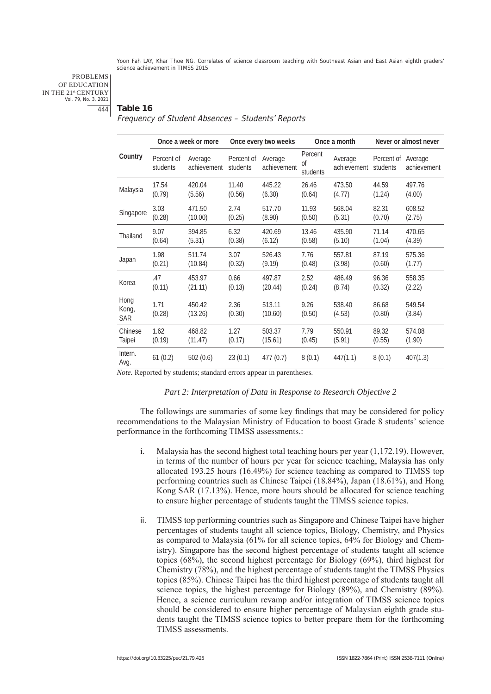PROBLEMS OF EDUCATION IN THE 21st CENTURY Vol. 79, No. 3, 2021 444

#### **Table 16**

## Frequency of Student Absences – Students' Reports

|                             | Once a week or more    |                        | Once every two weeks   |                        |                           | Once a month           | Never or almost never  |                        |
|-----------------------------|------------------------|------------------------|------------------------|------------------------|---------------------------|------------------------|------------------------|------------------------|
| Country                     | Percent of<br>students | Average<br>achievement | Percent of<br>students | Average<br>achievement | Percent<br>Οf<br>students | Average<br>achievement | Percent of<br>students | Average<br>achievement |
| Malaysia                    | 17.54                  | 420.04                 | 11.40                  | 445.22                 | 26.46                     | 473.50                 | 44.59                  | 497.76                 |
|                             | (0.79)                 | (5.56)                 | (0.56)                 | (6.30)                 | (0.64)                    | (4.77)                 | (1.24)                 | (4.00)                 |
| Singapore                   | 3.03                   | 471.50                 | 2.74                   | 517.70                 | 11.93                     | 568.04                 | 82.31                  | 608.52                 |
|                             | (0.28)                 | (10.00)                | (0.25)                 | (8.90)                 | (0.50)                    | (5.31)                 | (0.70)                 | (2.75)                 |
| Thailand                    | 9.07                   | 394.85                 | 6.32                   | 420.69                 | 13.46                     | 435.90                 | 71.14                  | 470.65                 |
|                             | (0.64)                 | (5.31)                 | (0.38)                 | (6.12)                 | (0.58)                    | (5.10)                 | (1.04)                 | (4.39)                 |
| Japan                       | 1.98                   | 511.74                 | 3.07                   | 526.43                 | 7.76                      | 557.81                 | 87.19                  | 575.36                 |
|                             | (0.21)                 | (10.84)                | (0.32)                 | (9.19)                 | (0.48)                    | (3.98)                 | (0.60)                 | (1.77)                 |
| Korea                       | .47                    | 453.97                 | 0.66                   | 497.87                 | 2.52                      | 486.49                 | 96.36                  | 558.35                 |
|                             | (0.11)                 | (21.11)                | (0.13)                 | (20.44)                | (0.24)                    | (8.74)                 | (0.32)                 | (2.22)                 |
| Hong<br>Kong,<br><b>SAR</b> | 1.71<br>(0.28)         | 450.42<br>(13.26)      | 2.36<br>(0.30)         | 513.11<br>(10.60)      | 9.26<br>(0.50)            | 538.40<br>(4.53)       | 86.68<br>(0.80)        | 549.54<br>(3.84)       |
| Chinese                     | 1.62                   | 468.82                 | 1.27                   | 503.37                 | 7.79                      | 550.91                 | 89.32                  | 574.08                 |
| Taipei                      | (0.19)                 | (11.47)                | (0.17)                 | (15.61)                | (0.45)                    | (5.91)                 | (0.55)                 | (1.90)                 |
| Intern.<br>Avg.             | 61(0.2)                | 502(0.6)               | 23(0.1)                | 477(0.7)               | 8(0.1)                    | 447(1.1)               | 8(0.1)                 | 407(1.3)               |

*Note.* Reported by students; standard errors appear in parentheses.

## *Part 2: Interpretation of Data in Response to Research Objective 2*

The followings are summaries of some key findings that may be considered for policy recommendations to the Malaysian Ministry of Education to boost Grade 8 students' science performance in the forthcoming TIMSS assessments.:

- i. Malaysia has the second highest total teaching hours per year (1,172.19). However, in terms of the number of hours per year for science teaching, Malaysia has only allocated 193.25 hours (16.49%) for science teaching as compared to TIMSS top performing countries such as Chinese Taipei (18.84%), Japan (18.61%), and Hong Kong SAR (17.13%). Hence, more hours should be allocated for science teaching to ensure higher percentage of students taught the TIMSS science topics.
- ii. TIMSS top performing countries such as Singapore and Chinese Taipei have higher percentages of students taught all science topics, Biology, Chemistry, and Physics as compared to Malaysia (61% for all science topics, 64% for Biology and Chemistry). Singapore has the second highest percentage of students taught all science topics (68%), the second highest percentage for Biology (69%), third highest for Chemistry (78%), and the highest percentage of students taught the TIMSS Physics topics (85%). Chinese Taipei has the third highest percentage of students taught all science topics, the highest percentage for Biology (89%), and Chemistry (89%). Hence, a science curriculum revamp and/or integration of TIMSS science topics should be considered to ensure higher percentage of Malaysian eighth grade students taught the TIMSS science topics to better prepare them for the forthcoming TIMSS assessments.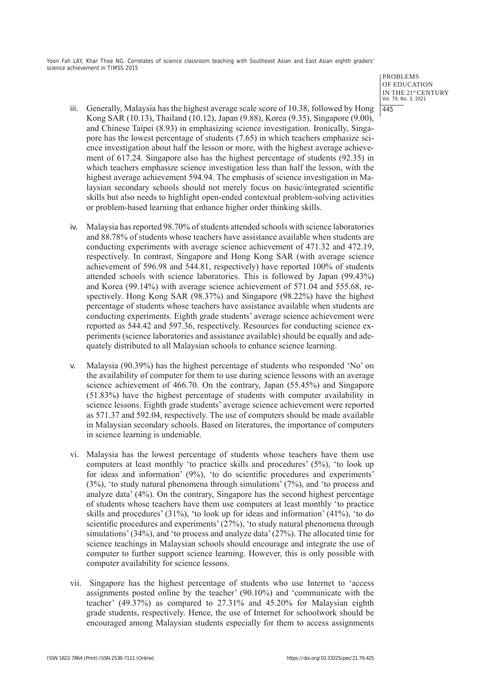> PROBLEMS OF EDUCATION IN THE 21st CENTURY Vol. 79, No. 3, 2021 445

- iii. Generally, Malaysia has the highest average scale score of 10.38, followed by Hong Kong SAR (10.13), Thailand (10.12), Japan (9.88), Korea (9.35), Singapore (9.00), and Chinese Taipei (8.93) in emphasizing science investigation. Ironically, Singapore has the lowest percentage of students (7.65) in which teachers emphasize science investigation about half the lesson or more, with the highest average achievement of 617.24. Singapore also has the highest percentage of students (92.35) in which teachers emphasize science investigation less than half the lesson, with the highest average achievement 594.94. The emphasis of science investigation in Malaysian secondary schools should not merely focus on basic/integrated scientific skills but also needs to highlight open-ended contextual problem-solving activities or problem-based learning that enhance higher order thinking skills.
- iv. Malaysia has reported 98.70% of students attended schools with science laboratories and 88.78% of students whose teachers have assistance available when students are conducting experiments with average science achievement of 471.32 and 472.19, respectively. In contrast, Singapore and Hong Kong SAR (with average science achievement of 596.98 and 544.81, respectively) have reported 100% of students attended schools with science laboratories. This is followed by Japan (99.43%) and Korea (99.14%) with average science achievement of 571.04 and 555.68, respectively. Hong Kong SAR (98.37%) and Singapore (98.22%) have the highest percentage of students whose teachers have assistance available when students are conducting experiments. Eighth grade students' average science achievement were reported as 544.42 and 597.36, respectively. Resources for conducting science experiments (science laboratories and assistance available) should be equally and adequately distributed to all Malaysian schools to enhance science learning.
- v. Malaysia (90.39%) has the highest percentage of students who responded 'No' on the availability of computer for them to use during science lessons with an average science achievement of 466.70. On the contrary, Japan (55.45%) and Singapore (51.83%) have the highest percentage of students with computer availability in science lessons. Eighth grade students' average science achievement were reported as 571.37 and 592.04, respectively. The use of computers should be made available in Malaysian secondary schools. Based on literatures, the importance of computers in science learning is undeniable.
- vi. Malaysia has the lowest percentage of students whose teachers have them use computers at least monthly 'to practice skills and procedures' (5%), 'to look up for ideas and information' (9%), 'to do scientific procedures and experiments' (3%), 'to study natural phenomena through simulations' (7%), and 'to process and analyze data' (4%). On the contrary, Singapore has the second highest percentage of students whose teachers have them use computers at least monthly 'to practice skills and procedures' (31%), 'to look up for ideas and information' (41%), 'to do scientific procedures and experiments' (27%), 'to study natural phenomena through simulations' (34%), and 'to process and analyze data' (27%). The allocated time for science teachings in Malaysian schools should encourage and integrate the use of computer to further support science learning. However, this is only possible with computer availability for science lessons.
- vii. Singapore has the highest percentage of students who use Internet to 'access assignments posted online by the teacher' (90.10%) and 'communicate with the teacher' (49.37%) as compared to 27.31% and 45.20% for Malaysian eighth grade students, respectively. Hence, the use of Internet for schoolwork should be encouraged among Malaysian students especially for them to access assignments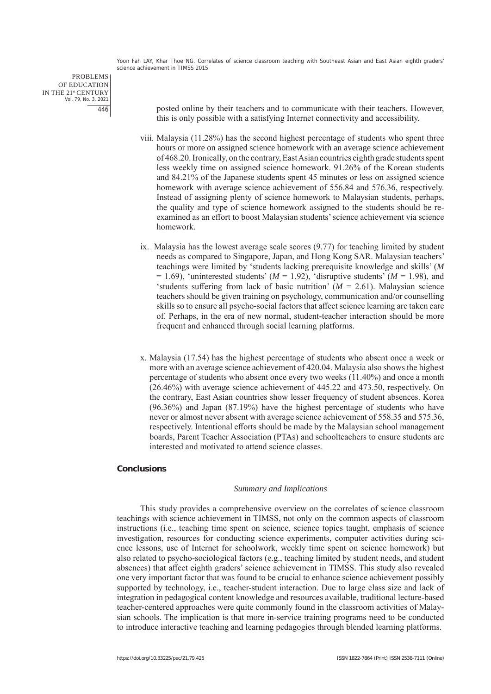PROBLEMS OF EDUCATION IN THE 21st CENTURY Vol. 79, No. 3, 2021 446

posted online by their teachers and to communicate with their teachers. However, this is only possible with a satisfying Internet connectivity and accessibility.

- viii. Malaysia (11.28%) has the second highest percentage of students who spent three hours or more on assigned science homework with an average science achievement of 468.20. Ironically, on the contrary, East Asian countries eighth grade students spent less weekly time on assigned science homework. 91.26% of the Korean students and 84.21% of the Japanese students spent 45 minutes or less on assigned science homework with average science achievement of 556.84 and 576.36, respectively. Instead of assigning plenty of science homework to Malaysian students, perhaps, the quality and type of science homework assigned to the students should be reexamined as an effort to boost Malaysian students' science achievement via science homework.
- ix. Malaysia has the lowest average scale scores (9.77) for teaching limited by student needs as compared to Singapore, Japan, and Hong Kong SAR. Malaysian teachers' teachings were limited by 'students lacking prerequisite knowledge and skills' (*M*   $= 1.69$ ), 'uninterested students' ( $M = 1.92$ ), 'disruptive students' ( $M = 1.98$ ), and 'students suffering from lack of basic nutrition'  $(M = 2.61)$ . Malaysian science teachers should be given training on psychology, communication and/or counselling skills so to ensure all psycho-social factors that affect science learning are taken care of. Perhaps, in the era of new normal, student-teacher interaction should be more frequent and enhanced through social learning platforms.
- x. Malaysia (17.54) has the highest percentage of students who absent once a week or more with an average science achievement of 420.04. Malaysia also shows the highest percentage of students who absent once every two weeks (11.40%) and once a month (26.46%) with average science achievement of 445.22 and 473.50, respectively. On the contrary, East Asian countries show lesser frequency of student absences. Korea (96.36%) and Japan (87.19%) have the highest percentage of students who have never or almost never absent with average science achievement of 558.35 and 575.36, respectively. Intentional efforts should be made by the Malaysian school management boards, Parent Teacher Association (PTAs) and schoolteachers to ensure students are interested and motivated to attend science classes.

## **Conclusions**

#### *Summary and Implications*

This study provides a comprehensive overview on the correlates of science classroom teachings with science achievement in TIMSS, not only on the common aspects of classroom instructions (i.e., teaching time spent on science, science topics taught, emphasis of science investigation, resources for conducting science experiments, computer activities during science lessons, use of Internet for schoolwork, weekly time spent on science homework) but also related to psycho-sociological factors (e.g., teaching limited by student needs, and student absences) that affect eighth graders' science achievement in TIMSS. This study also revealed one very important factor that was found to be crucial to enhance science achievement possibly supported by technology, i.e., teacher-student interaction. Due to large class size and lack of integration in pedagogical content knowledge and resources available, traditional lecture-based teacher-centered approaches were quite commonly found in the classroom activities of Malaysian schools. The implication is that more in-service training programs need to be conducted to introduce interactive teaching and learning pedagogies through blended learning platforms.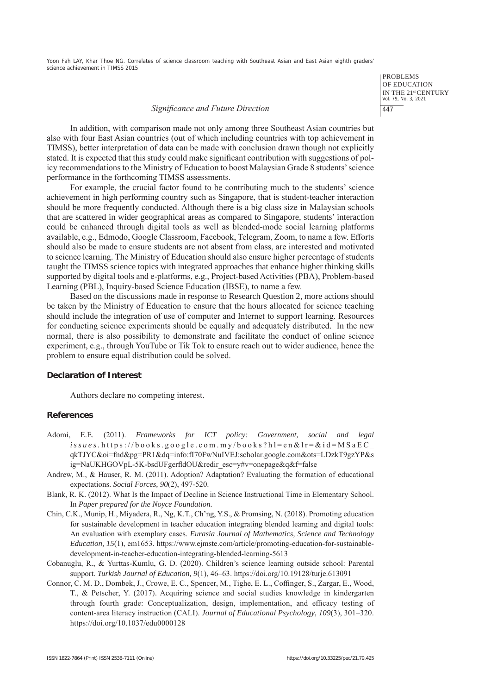> PROBLEMS OF EDUCATION IN THE 21st CENTURY Vol. 79, No. 3, 2021 447

#### *Significance and Future Direction*

In addition, with comparison made not only among three Southeast Asian countries but also with four East Asian countries (out of which including countries with top achievement in TIMSS), better interpretation of data can be made with conclusion drawn though not explicitly stated. It is expected that this study could make significant contribution with suggestions of policy recommendations to the Ministry of Education to boost Malaysian Grade 8 students' science performance in the forthcoming TIMSS assessments.

For example, the crucial factor found to be contributing much to the students' science achievement in high performing country such as Singapore, that is student-teacher interaction should be more frequently conducted. Although there is a big class size in Malaysian schools that are scattered in wider geographical areas as compared to Singapore, students' interaction could be enhanced through digital tools as well as blended-mode social learning platforms available, e.g., Edmodo, Google Classroom, Facebook, Telegram, Zoom, to name a few. Efforts should also be made to ensure students are not absent from class, are interested and motivated to science learning. The Ministry of Education should also ensure higher percentage of students taught the TIMSS science topics with integrated approaches that enhance higher thinking skills supported by digital tools and e-platforms, e.g., Project-based Activities (PBA), Problem-based Learning (PBL), Inquiry-based Science Education (IBSE), to name a few.

Based on the discussions made in response to Research Question 2, more actions should be taken by the Ministry of Education to ensure that the hours allocated for science teaching should include the integration of use of computer and Internet to support learning. Resources for conducting science experiments should be equally and adequately distributed. In the new normal, there is also possibility to demonstrate and facilitate the conduct of online science experiment, e.g., through YouTube or Tik Tok to ensure reach out to wider audience, hence the problem to ensure equal distribution could be solved.

## **Declaration of Interest**

Authors declare no competing interest.

#### **References**

- Adomi, E.E. (2011). *Frameworks for ICT policy: Government, social and legal issues.* https://books.google.com.my/books?hl=en&lr=&id=MSaEC\_ qkTJYC&oi=fnd&pg=PR1&dq=info:fI70FwNuIVEJ:scholar.google.com&ots=LDzkT9gzYP&s ig=NaUKHGOVpL-5K-bsdUFgerfldOU&redir\_esc=y#v=onepage&q&f=false
- Andrew, M., & Hauser, R. M. (2011). Adoption? Adaptation? Evaluating the formation of educational expectations. *Social Forces*, *90*(2), 497-520.
- Blank, R. K. (2012). What Is the Impact of Decline in Science Instructional Time in Elementary School. In *Paper prepared for the Noyce Foundation.*
- Chin, C.K., Munip, H., Miyadera, R., Ng, K.T., Ch'ng, Y.S., & Promsing, N. (2018). Promoting education for sustainable development in teacher education integrating blended learning and digital tools: An evaluation with exemplary cases. *Eurasia Journal of Mathematics, Science and Technology Education, 15*(1), em1653. https://www.ejmste.com/article/promoting-education-for-sustainabledevelopment-in-teacher-education-integrating-blended-learning-5613
- Cobanuglu, R., & Yurttas-Kumlu, G. D. (2020). Children's science learning outside school: Parental support. *Turkish Journal of Education*, *9*(1), 46–63. https://doi.org/10.19128/turje.613091
- Connor, C. M. D., Dombek, J., Crowe, E. C., Spencer, M., Tighe, E. L., Coffinger, S., Zargar, E., Wood, T., & Petscher, Y. (2017). Acquiring science and social studies knowledge in kindergarten through fourth grade: Conceptualization, design, implementation, and efficacy testing of content-area literacy instruction (CALI). *Journal of Educational Psychology*, *109*(3), 301–320. https://doi.org/10.1037/edu0000128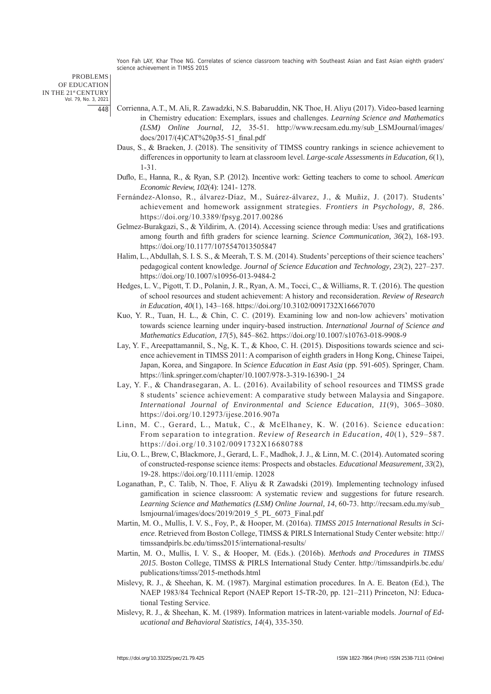PROBLEMS OF EDUCATION IN THE 21st CENTURY Vol. 79, No. 3, 2021 448

- Corrienna, A.T., M. Ali, R. Zawadzki, N.S. Babaruddin, NK Thoe, H. Aliyu (2017). Video-based learning in Chemistry education: Exemplars, issues and challenges. *Learning Science and Mathematics (LSM) Online Journal*, *12*, 35-51. http://www.recsam.edu.my/sub\_LSMJournal/images/ docs/2017/(4)CAT%20p35-51\_final.pdf
- Daus, S., & Braeken, J. (2018). The sensitivity of TIMSS country rankings in science achievement to differences in opportunity to learn at classroom level. *Large-scale Assessments in Education*, *6*(1), 1-31.
- Duflo, E., Hanna, R., & Ryan, S.P. (2012). Incentive work: Getting teachers to come to school. *American Economic Review, 102*(4): 1241- 1278.
- Fernández-Alonso, R., álvarez-Díaz, M., Suárez-álvarez, J., & Muñiz, J. (2017). Students' achievement and homework assignment strategies. *Frontiers in Psychology*, *8*, 286. https://doi.org/10.3389/fpsyg.2017.00286
- Gelmez-Burakgazi, S., & Yildirim, A. (2014). Accessing science through media: Uses and gratifications among fourth and fifth graders for science learning. *Science Communication*, *36*(2), 168-193. https://doi.org/10.1177/1075547013505847
- Halim, L., Abdullah, S. I. S. S., & Meerah, T. S. M. (2014). Students' perceptions of their science teachers' pedagogical content knowledge. *Journal of Science Education and Technology*, *23*(2), 227–237. https://doi.org/10.1007/s10956-013-9484-2
- Hedges, L. V., Pigott, T. D., Polanin, J. R., Ryan, A. M., Tocci, C., & Williams, R. T. (2016). The question of school resources and student achievement: A history and reconsideration. *Review of Research in Education*, *40*(1), 143–168. https://doi.org/10.3102/0091732X16667070
- Kuo, Y. R., Tuan, H. L., & Chin, C. C. (2019). Examining low and non-low achievers' motivation towards science learning under inquiry-based instruction. *International Journal of Science and Mathematics Education*, *17*(5), 845–862. https://doi.org/10.1007/s10763-018-9908-9
- Lay, Y. F., Areepattamannil, S., Ng, K. T., & Khoo, C. H. (2015). Dispositions towards science and science achievement in TIMSS 2011: A comparison of eighth graders in Hong Kong, Chinese Taipei, Japan, Korea, and Singapore. In *Science Education in East Asia* (pp. 591-605). Springer, Cham. https://link.springer.com/chapter/10.1007/978-3-319-16390-1\_24
- Lay, Y. F., & Chandrasegaran, A. L. (2016). Availability of school resources and TIMSS grade 8 students' science achievement: A comparative study between Malaysia and Singapore. *International Journal of Environmental and Science Education*, *11*(9), 3065–3080. https://doi.org/10.12973/ijese.2016.907a
- Linn, M. C., Gerard, L., Matuk, C., & McElhaney, K. W. (2016). Science education: From separation to integration. *Review of Research in Education*, *40*(1), 529–587. https://doi.org/10.3102/0091732X16680788
- Liu, O. L., Brew, C, Blackmore, J., Gerard, L. F., Madhok, J. J., & Linn, M. C. (2014). Automated scoring of constructed-response science items: Prospects and obstacles. *Educational Measurement*, *33*(2), 19-28. https://doi.org/10.1111/emip. 12028
- Loganathan, P., C. Talib, N. Thoe, F. Aliyu & R Zawadski (2019). Implementing technology infused gamification in science classroom: A systematic review and suggestions for future research. *Learning Science and Mathematics (LSM) Online Journal*, *14*, 60-73. http://recsam.edu.my/sub\_ lsmjournal/images/docs/2019/2019\_5\_PL\_6073\_Final.pdf
- Martin, M. O., Mullis, I. V. S., Foy, P., & Hooper, M. (2016a). *TIMSS 2015 International Results in Science*. Retrieved from Boston College, TIMSS & PIRLS International Study Center website: http:// timssandpirls.bc.edu/timss2015/international-results/
- Martin, M. O., Mullis, I. V. S., & Hooper, M. (Eds.). (2016b). *Methods and Procedures in TIMSS 2015*. Boston College, TIMSS & PIRLS International Study Center. http://timssandpirls.bc.edu/ publications/timss/2015-methods.html
- Mislevy, R. J., & Sheehan, K. M. (1987). Marginal estimation procedures. In A. E. Beaton (Ed.), The NAEP 1983/84 Technical Report (NAEP Report 15-TR-20, pp. 121–211) Princeton, NJ: Educational Testing Service.
- Mislevy, R. J., & Sheehan, K. M. (1989). Information matrices in latent-variable models. *Journal of Educational and Behavioral Statistics*, *14*(4), 335-350.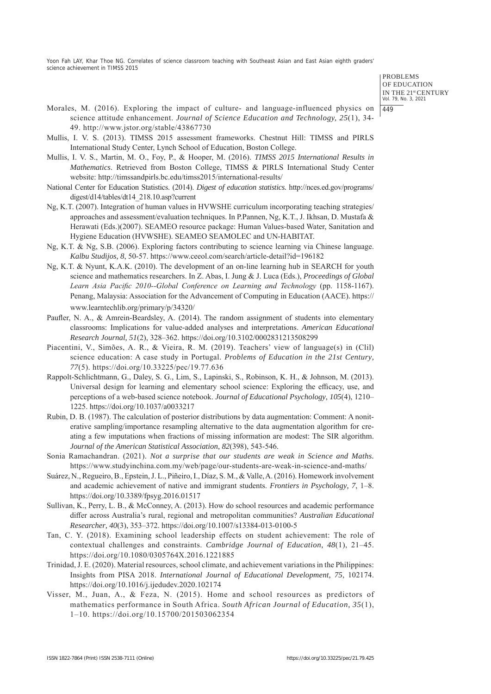> PROBLEMS OF EDUCATION IN THE 21st CENTURY Vol. 79, No. 3, 2021 449

- Morales, M. (2016). Exploring the impact of culture- and language-influenced physics on science attitude enhancement. *Journal of Science Education and Technology, 25*(1), 34- 49. http://www.jstor.org/stable/43867730
- Mullis, I. V. S. (2013). TIMSS 2015 assessment frameworks. Chestnut Hill: TIMSS and PIRLS International Study Center, Lynch School of Education, Boston College.
- Mullis, I. V. S., Martin, M. O., Foy, P., & Hooper, M. (2016). *TIMSS 2015 International Results in Mathematics*. Retrieved from Boston College, TIMSS & PIRLS International Study Center website: http://timssandpirls.bc.edu/timss2015/international-results/
- National Center for Education Statistics. (2014). *Digest of education statistics.* http://nces.ed.gov/programs/ digest/d14/tables/dt14\_218.10.asp?current
- Ng, K.T. (2007). Integration of human values in HVWSHE curriculum incorporating teaching strategies/ approaches and assessment/evaluation techniques. In P.Pannen, Ng, K.T., J. Ikhsan, D. Mustafa & Herawati (Eds.)(2007). SEAMEO resource package: Human Values-based Water, Sanitation and Hygiene Education (HVWSHE). SEAMEO SEAMOLEC and UN-HABITAT.
- Ng, K.T. & Ng, S.B. (2006). Exploring factors contributing to science learning via Chinese language. *Kalbu Studijos*, *8*, 50-57. https://www.ceeol.com/search/article-detail?id=196182
- Ng, K.T. & Nyunt, K.A.K. (2010). The development of an on-line learning hub in SEARCH for youth science and mathematics researchers. In Z. Abas, I. Jung & J. Luca (Eds.), *Proceedings of Global Learn Asia Pacific 2010--Global Conference on Learning and Technology* (pp. 1158-1167). Penang, Malaysia: Association for the Advancement of Computing in Education (AACE). https:// www.learntechlib.org/primary/p/34320/
- Paufler, N. A., & Amrein-Beardsley, A. (2014). The random assignment of students into elementary classrooms: Implications for value-added analyses and interpretations. *American Educational Research Journal*, *51*(2), 328–362. https://doi.org/10.3102/0002831213508299
- Piacentini, V., Simões, A. R., & Vieira, R. M. (2019). Teachers' view of language(s) in (Clil) science education: A case study in Portugal. *Problems of Education in the 21st Century*, *77*(5). https://doi.org/10.33225/pec/19.77.636
- Rappolt-Schlichtmann, G., Daley, S. G., Lim, S., Lapinski, S., Robinson, K. H., & Johnson, M. (2013). Universal design for learning and elementary school science: Exploring the efficacy, use, and perceptions of a web-based science notebook. *Journal of Educational Psychology*, *105*(4), 1210– 1225. https://doi.org/10.1037/a0033217
- Rubin, D. B. (1987). The calculation of posterior distributions by data augmentation: Comment: A noniterative sampling/importance resampling alternative to the data augmentation algorithm for creating a few imputations when fractions of missing information are modest: The SIR algorithm. *Journal of the American Statistical Association*, *82*(398), 543-546.
- Sonia Ramachandran. (2021). *Not a surprise that our students are weak in Science and Maths.* https://www.studyinchina.com.my/web/page/our-students-are-weak-in-science-and-maths/
- Suárez, N., Regueiro, B., Epstein, J. L., Piñeiro, I., Díaz, S. M., & Valle, A. (2016). Homework involvement and academic achievement of native and immigrant students. *Frontiers in Psychology*, *7*, 1–8. https://doi.org/10.3389/fpsyg.2016.01517
- Sullivan, K., Perry, L. B., & McConney, A. (2013). How do school resources and academic performance differ across Australia's rural, regional and metropolitan communities? *Australian Educational Researcher*, *40*(3), 353–372. https://doi.org/10.1007/s13384-013-0100-5
- Tan, C. Y. (2018). Examining school leadership effects on student achievement: The role of contextual challenges and constraints. *Cambridge Journal of Education*, *48*(1), 21–45. https://doi.org/10.1080/0305764X.2016.1221885
- Trinidad, J. E. (2020). Material resources, school climate, and achievement variations in the Philippines: Insights from PISA 2018. *International Journal of Educational Development*, *75*, 102174. https://doi.org/10.1016/j.ijedudev.2020.102174
- Visser, M., Juan, A., & Feza, N. (2015). Home and school resources as predictors of mathematics performance in South Africa. *South African Journal of Education*, *35*(1), 1–10. https://doi.org/10.15700/201503062354